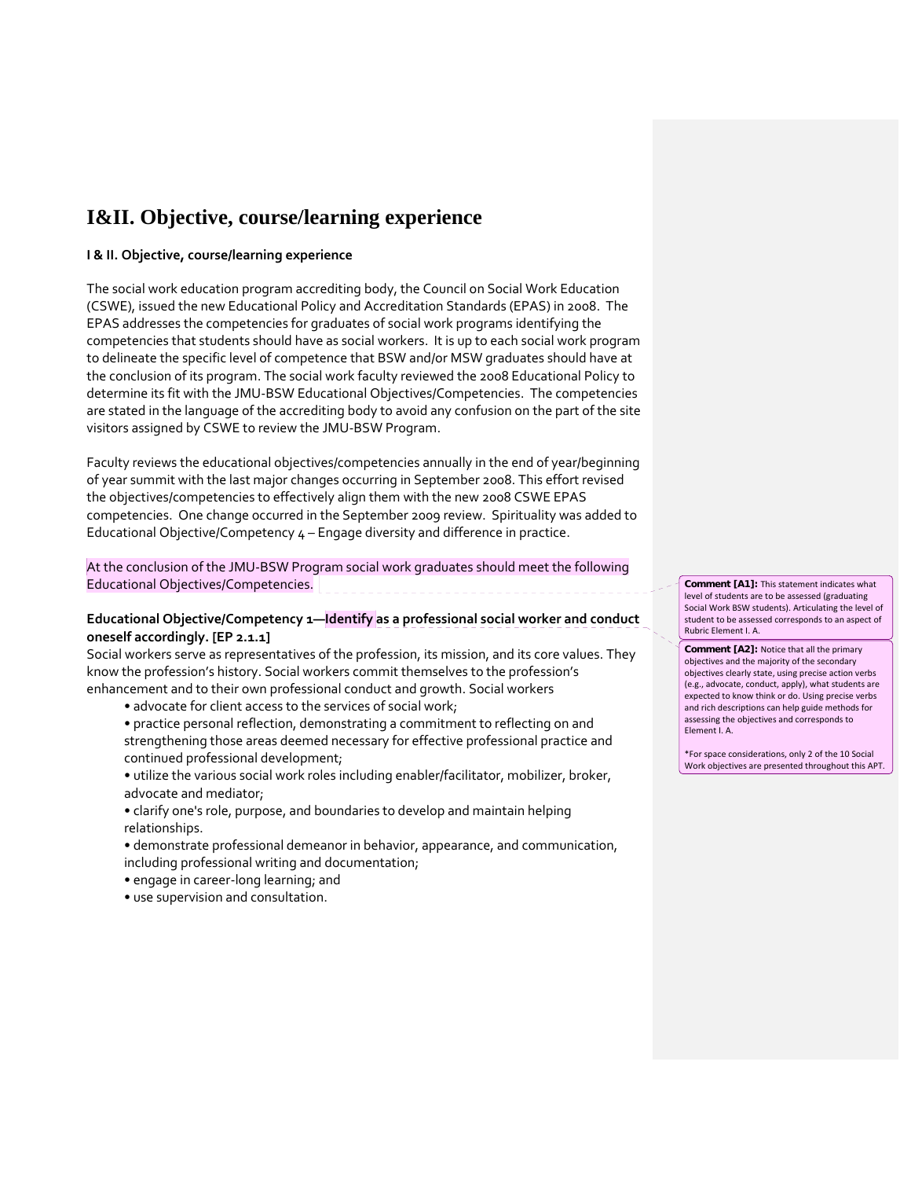# **I&II. Objective, course/learning experience**

#### **I & II. Objective, course/learning experience**

The social work education program accrediting body, the Council on Social Work Education (CSWE), issued the new Educational Policy and Accreditation Standards (EPAS) in 2008. The EPAS addresses the competencies for graduates of social work programs identifying the competencies that students should have as social workers. It is up to each social work program to delineate the specific level of competence that BSW and/or MSW graduates should have at the conclusion of its program. The social work faculty reviewed the 2008 Educational Policy to determine its fit with the JMU‐BSW Educational Objectives/Competencies. The competencies are stated in the language of the accrediting body to avoid any confusion on the part of the site visitors assigned by CSWE to review the JMU‐BSW Program.

Faculty reviews the educational objectives/competencies annually in the end of year/beginning of year summit with the last major changes occurring in September 2008. This effort revised the objectives/competencies to effectively align them with the new 2008 CSWE EPAS competencies. One change occurred in the September 2009 review. Spirituality was added to Educational Objective/Competency 4 – Engage diversity and difference in practice.

At the conclusion of the JMU‐BSW Program social work graduates should meet the following Educational Objectives/Competencies.

### **Educational Objective/Competency 1—Identify as a professional social worker and conduct oneself accordingly. [EP 2.1.1]**

Social workers serve as representatives of the profession, its mission, and its core values. They know the profession's history. Social workers commit themselves to the profession's enhancement and to their own professional conduct and growth. Social workers

- advocate for client access to the services of social work;
- practice personal reflection, demonstrating a commitment to reflecting on and strengthening those areas deemed necessary for effective professional practice and continued professional development;
- utilize the various social work roles including enabler/facilitator, mobilizer, broker, advocate and mediator;
- clarify one's role, purpose, and boundaries to develop and maintain helping relationships.
- demonstrate professional demeanor in behavior, appearance, and communication, including professional writing and documentation;
- engage in career‐long learning; and
- use supervision and consultation.

**Comment [A1]:** This statement indicates what level of students are to be assessed (graduating Social Work BSW students). Articulating the level of student to be assessed corresponds to an aspect of Rubric Element I. A.

**Comment [A2]:** Notice that all the primary objectives and the majority of the secondary objectives clearly state, using precise action verbs (e.g., advocate, conduct, apply), what students are expected to know think or do. Using precise verbs and rich descriptions can help guide methods for assessing the objectives and corresponds to Element I. A.

\*For space considerations, only 2 of the 10 Social Work objectives are presented throughout this APT.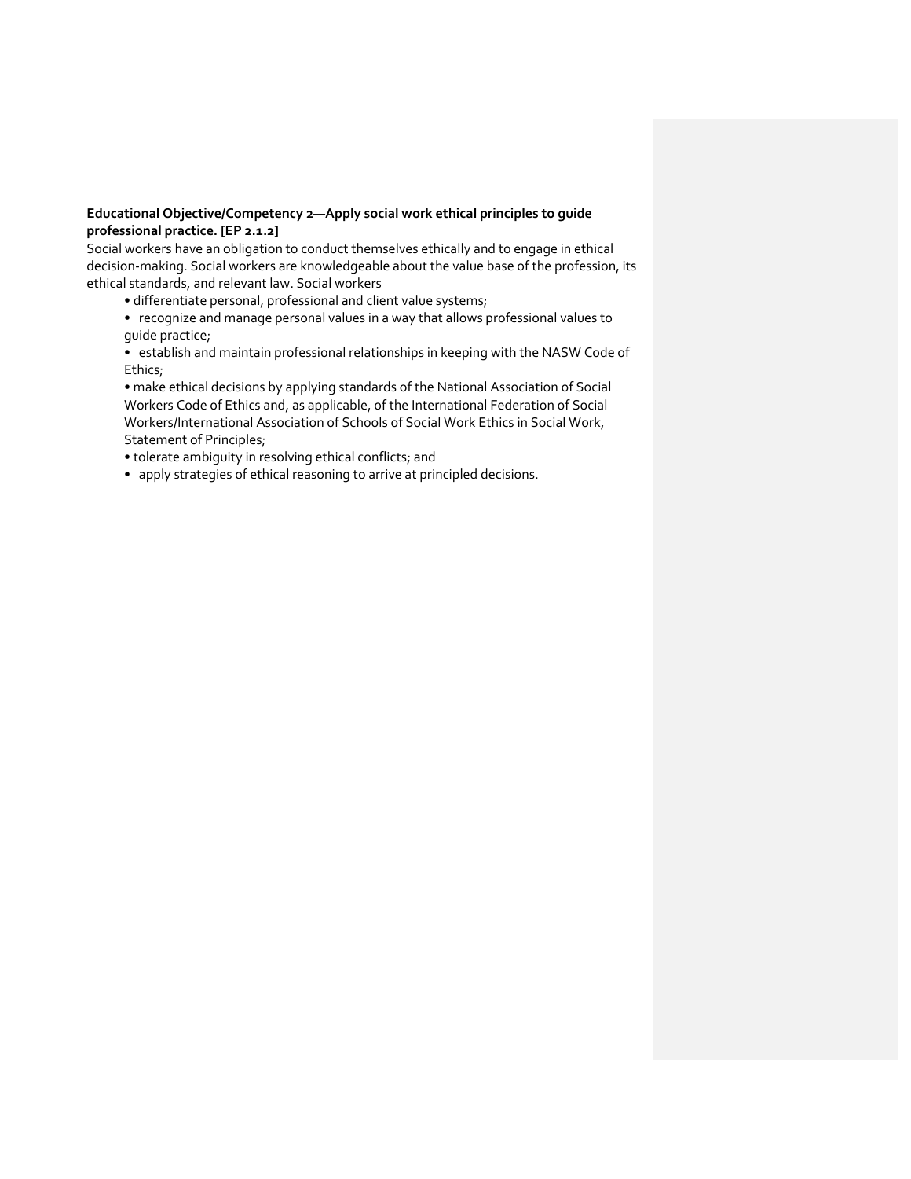### **Educational Objective/Competency 2**—**Apply social work ethical principles to guide professional practice. [EP 2.1.2]**

Social workers have an obligation to conduct themselves ethically and to engage in ethical decision-making. Social workers are knowledgeable about the value base of the profession, its ethical standards, and relevant law. Social workers

- differentiate personal, professional and client value systems;
- recognize and manage personal values in a way that allows professional values to guide practice;
- establish and maintain professional relationships in keeping with the NASW Code of Ethics;

• make ethical decisions by applying standards of the National Association of Social Workers Code of Ethics and, as applicable, of the International Federation of Social Workers/International Association of Schools of Social Work Ethics in Social Work, Statement of Principles;

- tolerate ambiguity in resolving ethical conflicts; and
- apply strategies of ethical reasoning to arrive at principled decisions.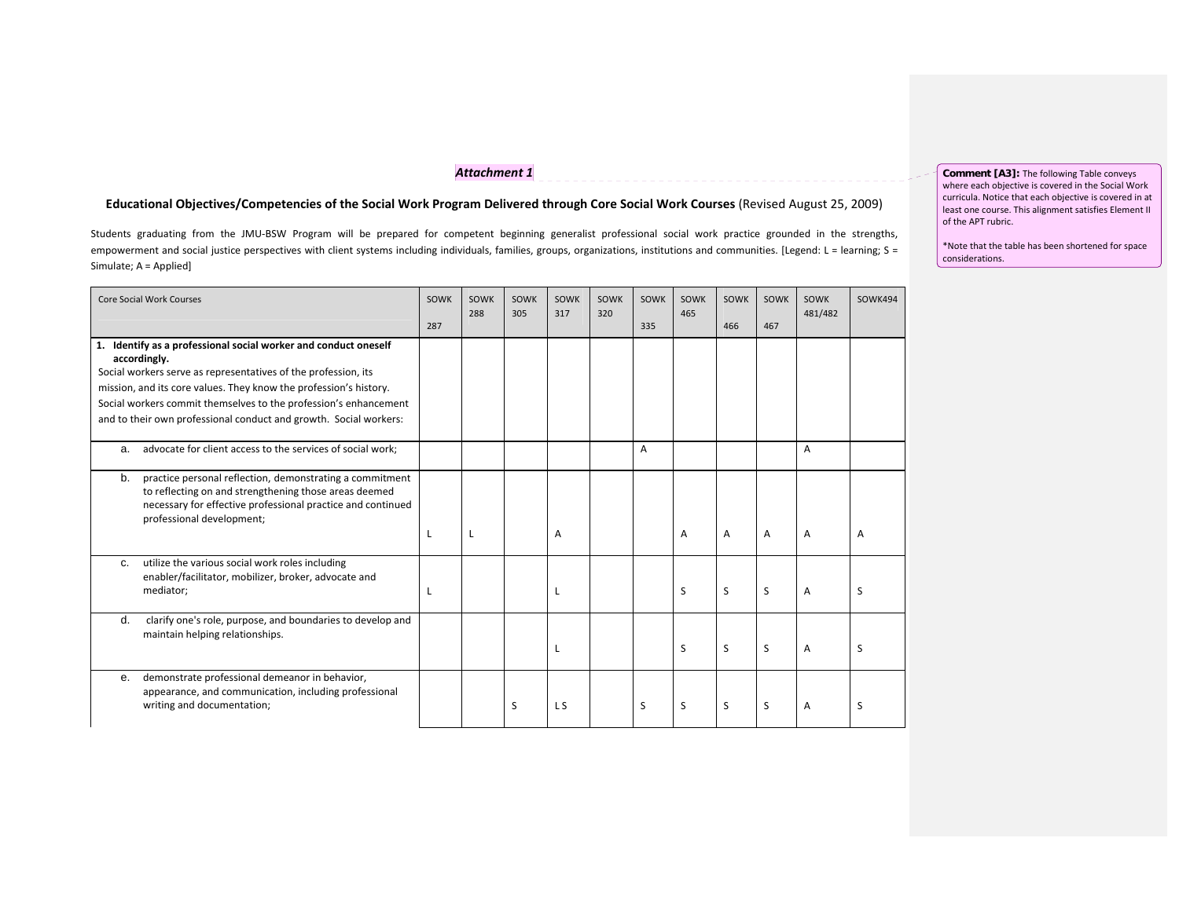*Attachment 1*

<u>. . . . . . . . . . . . . . . .</u>

#### **Educational Objectives/Competencies of the Social Work Program Delivered through Core Social Work Courses** (Revised August 25, 2009)

Students graduating from the JMU‐BSW Program will be prepared for competent beginning generalist professional social work practice grounded in the strengths, empowerment and social justice perspectives with client systems including individuals, families, groups, organizations, institutions and communities. [Legend: L = learning; S = Simulate; A <sup>=</sup> Applied]

| <b>Core Social Work Courses</b>                                                                                                                                                                                                                                                                                                                                 | SOWK<br>287 | SOWK<br>288 | SOWK<br>305 | SOWK<br>317 | SOWK<br>320 | SOWK<br>335 | SOWK<br>465 | SOWK<br>466    | SOWK<br>467    | SOWK<br>481/482 | SOWK494 |
|-----------------------------------------------------------------------------------------------------------------------------------------------------------------------------------------------------------------------------------------------------------------------------------------------------------------------------------------------------------------|-------------|-------------|-------------|-------------|-------------|-------------|-------------|----------------|----------------|-----------------|---------|
| 1. Identify as a professional social worker and conduct oneself<br>accordingly.<br>Social workers serve as representatives of the profession, its<br>mission, and its core values. They know the profession's history.<br>Social workers commit themselves to the profession's enhancement<br>and to their own professional conduct and growth. Social workers: |             |             |             |             |             |             |             |                |                |                 |         |
| advocate for client access to the services of social work;<br>a.                                                                                                                                                                                                                                                                                                |             |             |             |             |             | A           |             |                |                | Α               |         |
| practice personal reflection, demonstrating a commitment<br>b.<br>to reflecting on and strengthening those areas deemed<br>necessary for effective professional practice and continued<br>professional development;                                                                                                                                             | L           | L           |             | A           |             |             | A           | $\overline{A}$ | $\overline{A}$ | A               | A       |
| utilize the various social work roles including<br>C.<br>enabler/facilitator, mobilizer, broker, advocate and<br>mediator;                                                                                                                                                                                                                                      |             |             |             |             |             |             | S           | S              | S              | Α               | S       |
| clarify one's role, purpose, and boundaries to develop and<br>d.<br>maintain helping relationships.                                                                                                                                                                                                                                                             |             |             |             |             |             |             | S           | S              | S              | Α               | S       |
| demonstrate professional demeanor in behavior,<br>е.<br>appearance, and communication, including professional<br>writing and documentation;                                                                                                                                                                                                                     |             |             | S           | L S         |             | S           | S           | S              | S              | Α               | S       |

**Comment [A3]:** The following Table conveys where each objective is covered in the Social Work curricula. Notice that each objective is covered in at least one course. This alignment satisfies Element II of the APT rubric.

\*Note that the table has been shortened for space considerations.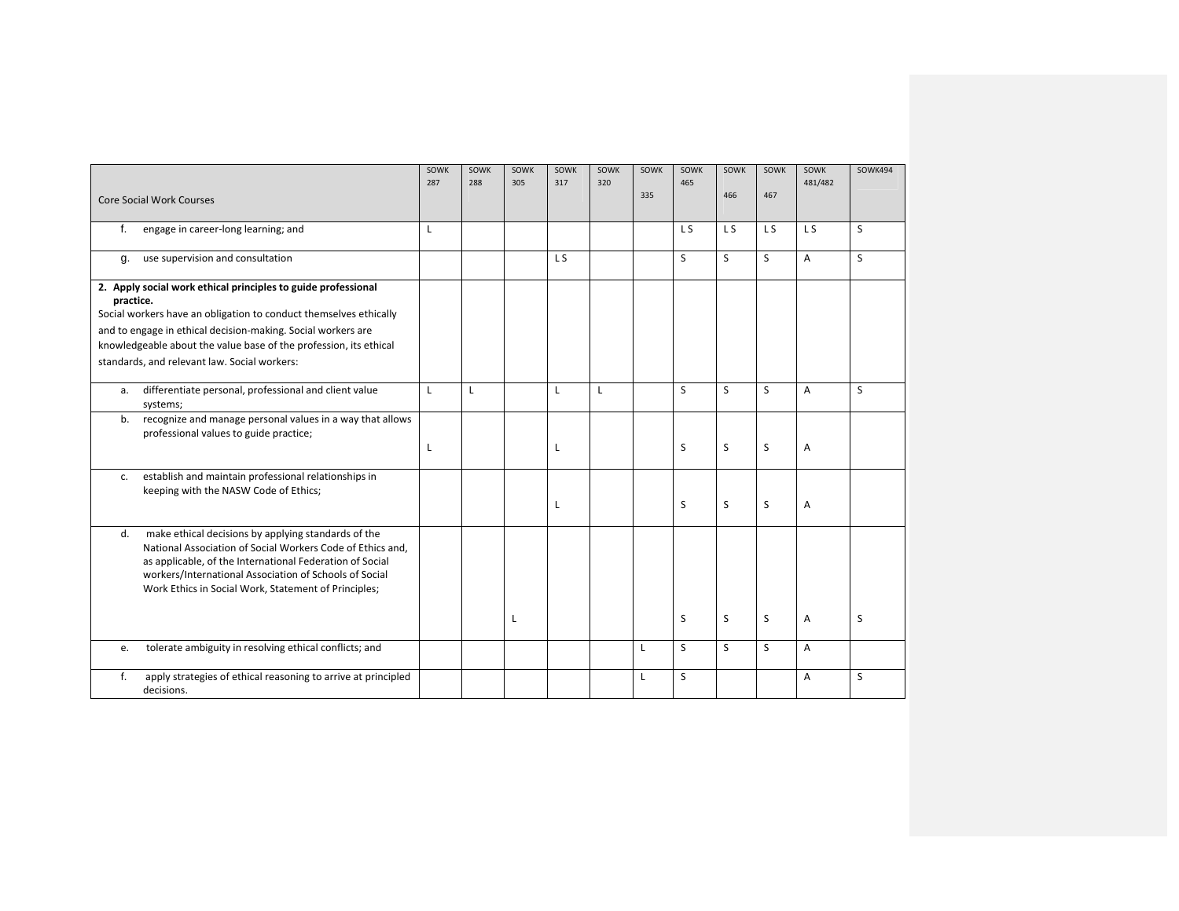|                                                                                                                                                                                                                                                                                                                                      | SOWK<br>287  | SOWK<br>288 | SOWK<br>305 | SOWK<br>317    | SOWK<br>320 | SOWK | SOWK<br>465    | SOWK           | SOWK           | SOWK<br>481/482 | <b>SOWK494</b> |
|--------------------------------------------------------------------------------------------------------------------------------------------------------------------------------------------------------------------------------------------------------------------------------------------------------------------------------------|--------------|-------------|-------------|----------------|-------------|------|----------------|----------------|----------------|-----------------|----------------|
| <b>Core Social Work Courses</b>                                                                                                                                                                                                                                                                                                      |              |             |             |                |             | 335  |                | 466            | 467            |                 |                |
| f.<br>engage in career-long learning; and                                                                                                                                                                                                                                                                                            | L            |             |             |                |             |      | L <sub>S</sub> | L <sub>S</sub> | L <sub>S</sub> | L S             | S              |
| use supervision and consultation<br>q.                                                                                                                                                                                                                                                                                               |              |             |             | L <sub>S</sub> |             |      | S              | S              | S              | $\overline{A}$  | S              |
| 2. Apply social work ethical principles to guide professional<br>practice.<br>Social workers have an obligation to conduct themselves ethically<br>and to engage in ethical decision-making. Social workers are<br>knowledgeable about the value base of the profession, its ethical<br>standards, and relevant law. Social workers: |              |             |             |                |             |      |                |                |                |                 |                |
| differentiate personal, professional and client value<br>а.<br>systems;                                                                                                                                                                                                                                                              | $\mathsf{L}$ | L           |             | L              | L           |      | S              | S              | S              | $\overline{A}$  | S              |
| recognize and manage personal values in a way that allows<br>b.<br>professional values to guide practice;                                                                                                                                                                                                                            | Г            |             |             | L              |             |      | S              | S              | S              | Α               |                |
| establish and maintain professional relationships in<br>c.<br>keeping with the NASW Code of Ethics;                                                                                                                                                                                                                                  |              |             |             | L              |             |      | S              | S              | S              | $\overline{A}$  |                |
| make ethical decisions by applying standards of the<br>d.<br>National Association of Social Workers Code of Ethics and,<br>as applicable, of the International Federation of Social<br>workers/International Association of Schools of Social<br>Work Ethics in Social Work, Statement of Principles;                                |              |             |             |                |             |      | S              | S              | S              | $\overline{A}$  | S              |
| tolerate ambiguity in resolving ethical conflicts; and<br>e.                                                                                                                                                                                                                                                                         |              |             |             |                |             | L    | S              | S              | S              | $\overline{A}$  |                |
| f.<br>apply strategies of ethical reasoning to arrive at principled<br>decisions.                                                                                                                                                                                                                                                    |              |             |             |                |             | L    | S              |                |                | $\overline{A}$  | S              |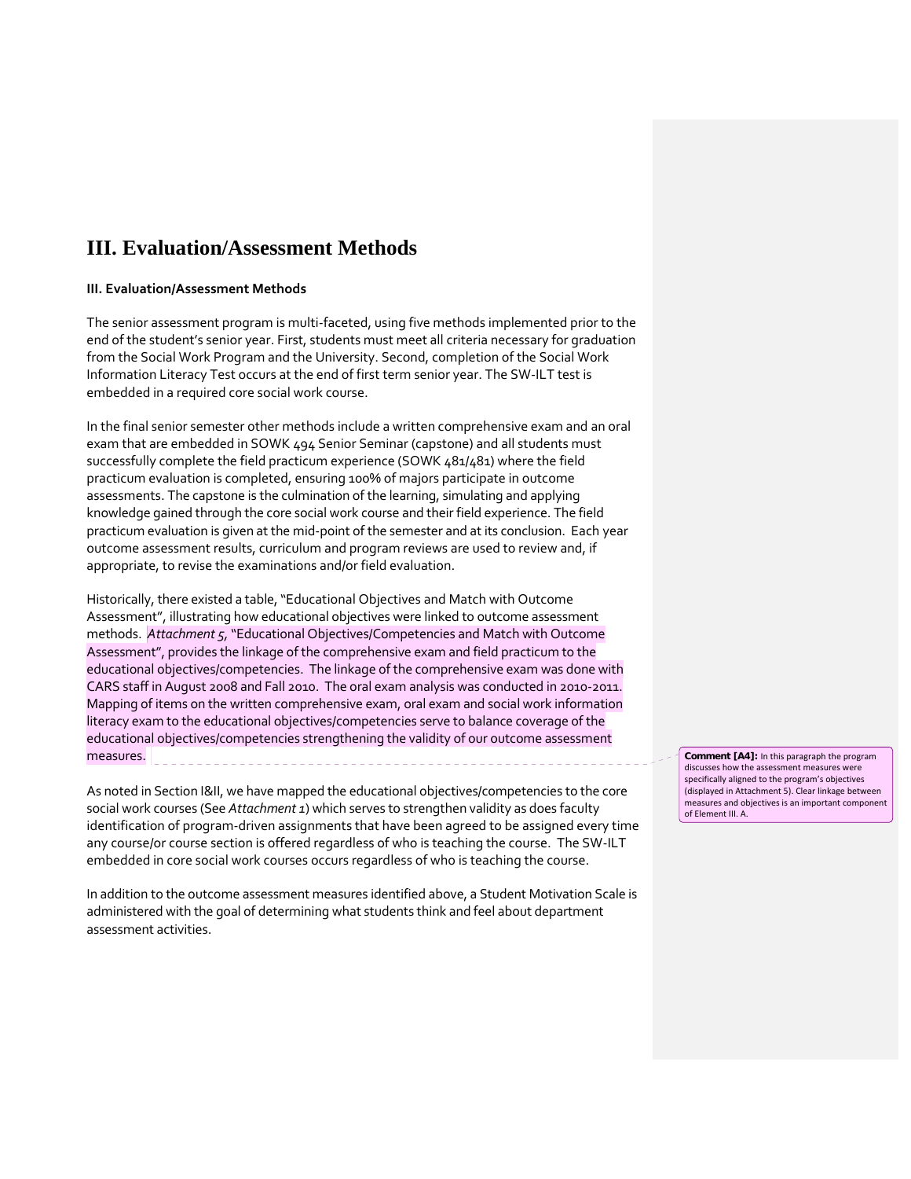## **III. Evaluation/Assessment Methods**

#### **III. Evaluation/Assessment Methods**

The senior assessment program is multi‐faceted, using five methods implemented prior to the end of the student's senior year. First, students must meet all criteria necessary for graduation from the Social Work Program and the University. Second, completion of the Social Work Information Literacy Test occurs at the end of first term senior year. The SW‐ILT test is embedded in a required core social work course.

In the final senior semester other methods include a written comprehensive exam and an oral exam that are embedded in SOWK 494 Senior Seminar (capstone) and all students must successfully complete the field practicum experience (SOWK 481/481) where the field practicum evaluation is completed, ensuring 100% of majors participate in outcome assessments. The capstone is the culmination of the learning, simulating and applying knowledge gained through the core social work course and their field experience. The field practicum evaluation is given at the mid‐point of the semester and at its conclusion. Each year outcome assessment results, curriculum and program reviews are used to review and, if appropriate, to revise the examinations and/or field evaluation.

Historically, there existed a table,"Educational Objectives and Match with Outcome Assessment", illustrating how educational objectives were linked to outcome assessment methods. *Attachment 5,*"Educational Objectives/Competencies and Match with Outcome Assessment", provides the linkage of the comprehensive exam and field practicum to the educational objectives/competencies. The linkage of the comprehensive exam was done with CARS staff in August 2008 and Fall 2010. The oral exam analysis was conducted in 2010‐2011. Mapping of items on the written comprehensive exam, oral exam and social work information literacy exam to the educational objectives/competencies serve to balance coverage of the educational objectives/competencies strengthening the validity of our outcome assessment measures.

As noted in Section I&II, we have mapped the educational objectives/competencies to the core social work courses (See *Attachment 1*) which serves to strengthen validity as does faculty identification of program‐driven assignments that have been agreed to be assigned every time any course/or course section is offered regardless of who is teaching the course. The SW-ILT embedded in core social work courses occurs regardless of who is teaching the course.

In addition to the outcome assessment measures identified above, a Student Motivation Scale is administered with the goal of determining what students think and feel about department assessment activities.

**Comment [A4]:** In this paragraph the program discusses how the assessment measures were specifically aligned to the program's objectives (displayed in Attachment 5). Clear linkage between measures and objectives is an important component of Element III. A.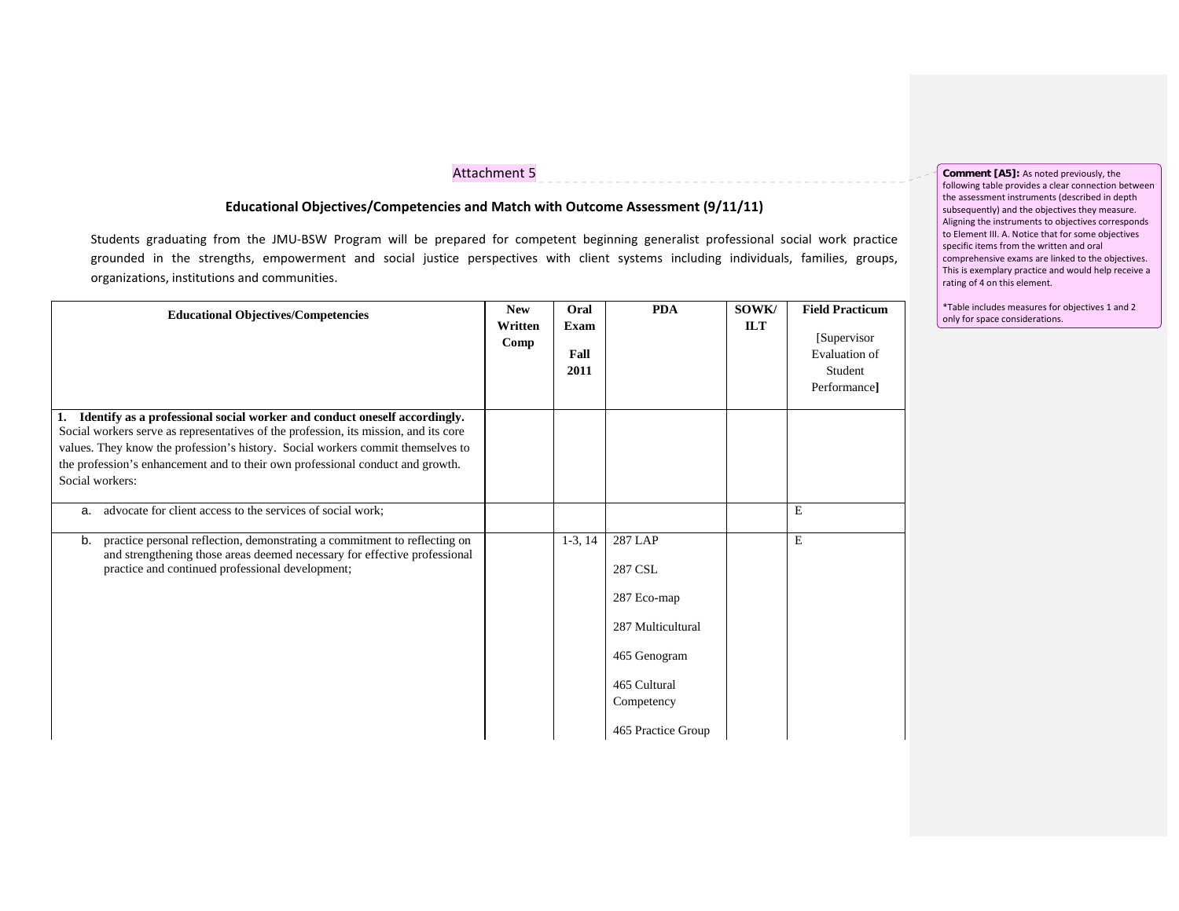Attachment 5

. . . . . . . . . . . . . .

#### **Educational Objectives/Competencies and Match with Outcome Assessment (9/11/11)**

Students graduating from the JMU‐BSW Program will be prepared for competent beginning generalist professional social work practice grounded in the strengths, empowerment and social justice perspectives with client systems including individuals, families, groups, organizations, institutions and communities.

| <b>Educational Objectives/Competencies</b>                                                                                                                                                                                                                                                                                                                      | <b>New</b><br>Written<br>Comp | Oral<br><b>Exam</b><br>Fall<br>2011 | <b>PDA</b>                                                                                                                 | SOWK/<br><b>ILT</b> | <b>Field Practicum</b><br>[Supervisor]<br><b>Evaluation of</b><br>Student<br>Performance] |
|-----------------------------------------------------------------------------------------------------------------------------------------------------------------------------------------------------------------------------------------------------------------------------------------------------------------------------------------------------------------|-------------------------------|-------------------------------------|----------------------------------------------------------------------------------------------------------------------------|---------------------|-------------------------------------------------------------------------------------------|
| Identify as a professional social worker and conduct oneself accordingly.<br>1.<br>Social workers serve as representatives of the profession, its mission, and its core<br>values. They know the profession's history. Social workers commit themselves to<br>the profession's enhancement and to their own professional conduct and growth.<br>Social workers: |                               |                                     |                                                                                                                            |                     |                                                                                           |
| advocate for client access to the services of social work:<br>a.                                                                                                                                                                                                                                                                                                |                               |                                     |                                                                                                                            |                     | E                                                                                         |
| practice personal reflection, demonstrating a commitment to reflecting on<br>b.<br>and strengthening those areas deemed necessary for effective professional<br>practice and continued professional development;                                                                                                                                                |                               | $1-3, 14$                           | 287 LAP<br>287 CSL<br>287 Eco-map<br>287 Multicultural<br>465 Genogram<br>465 Cultural<br>Competency<br>465 Practice Group |                     | E                                                                                         |

**Comment [A5]:** As noted previously, the following table provides <sup>a</sup> clear connection between the assessment instruments (described in depth subsequently) and the objectives they measure. Aligning the instruments to objectives corresponds to Element III. A. Notice that for some objectives specific items from the written and oral comprehensive exams are linked to the objectives. This is exemplary practice and would help receive <sup>a</sup> rating of 4 on this element.

\*Table includes measures for objectives 1 and 2 only for space considerations.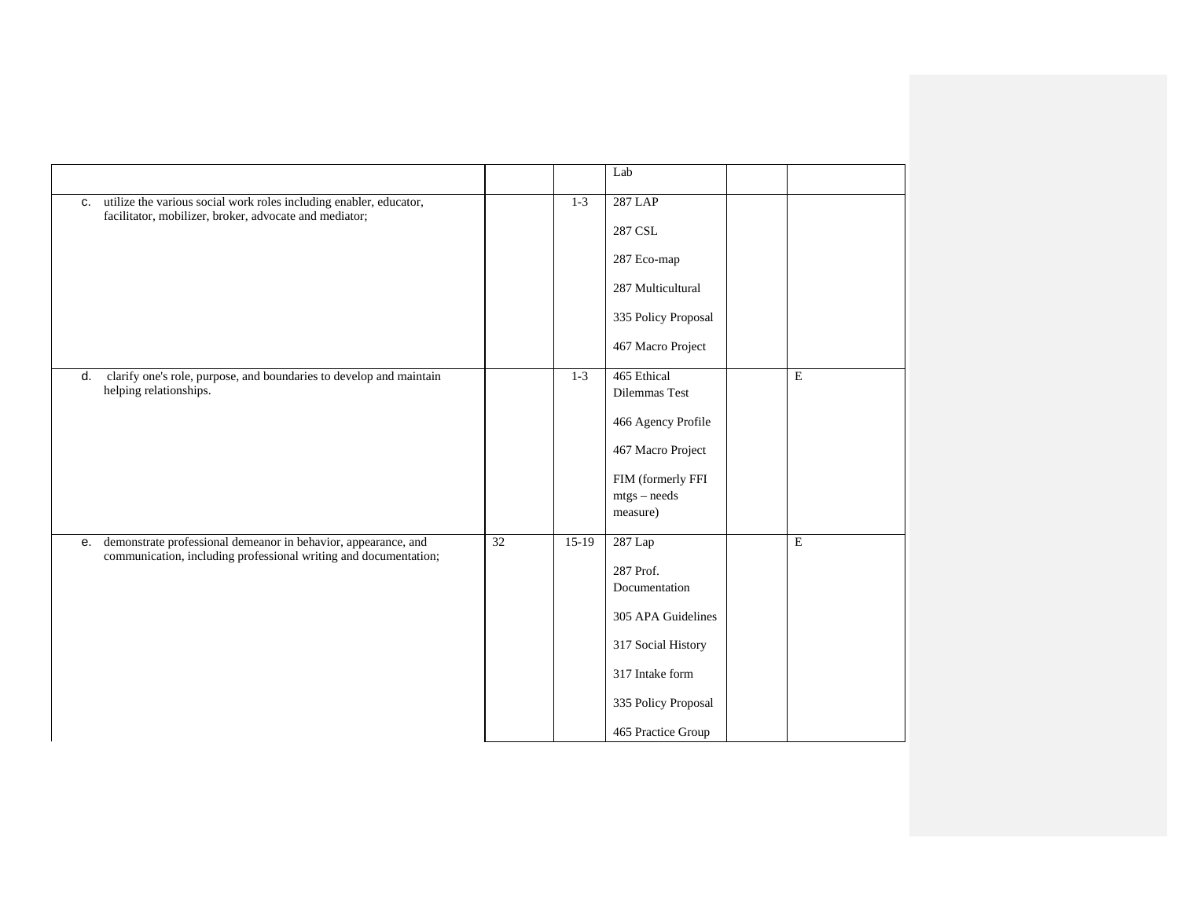|    |                                                                                                                                    |    |         | Lab                                                                                                                                               |             |
|----|------------------------------------------------------------------------------------------------------------------------------------|----|---------|---------------------------------------------------------------------------------------------------------------------------------------------------|-------------|
| C. | utilize the various social work roles including enabler, educator,<br>facilitator, mobilizer, broker, advocate and mediator;       |    | $1-3$   | <b>287 LAP</b><br>287 CSL<br>287 Eco-map<br>287 Multicultural<br>335 Policy Proposal<br>467 Macro Project                                         |             |
| d. | clarify one's role, purpose, and boundaries to develop and maintain<br>helping relationships.                                      |    | $1 - 3$ | 465 Ethical<br>Dilemmas Test<br>466 Agency Profile<br>467 Macro Project<br>FIM (formerly FFI<br>$mtgs - needs$<br>measure)                        | E           |
| е. | demonstrate professional demeanor in behavior, appearance, and<br>communication, including professional writing and documentation; | 32 | $15-19$ | 287 Lap<br>287 Prof.<br>Documentation<br>305 APA Guidelines<br>317 Social History<br>317 Intake form<br>335 Policy Proposal<br>465 Practice Group | $\mathbf E$ |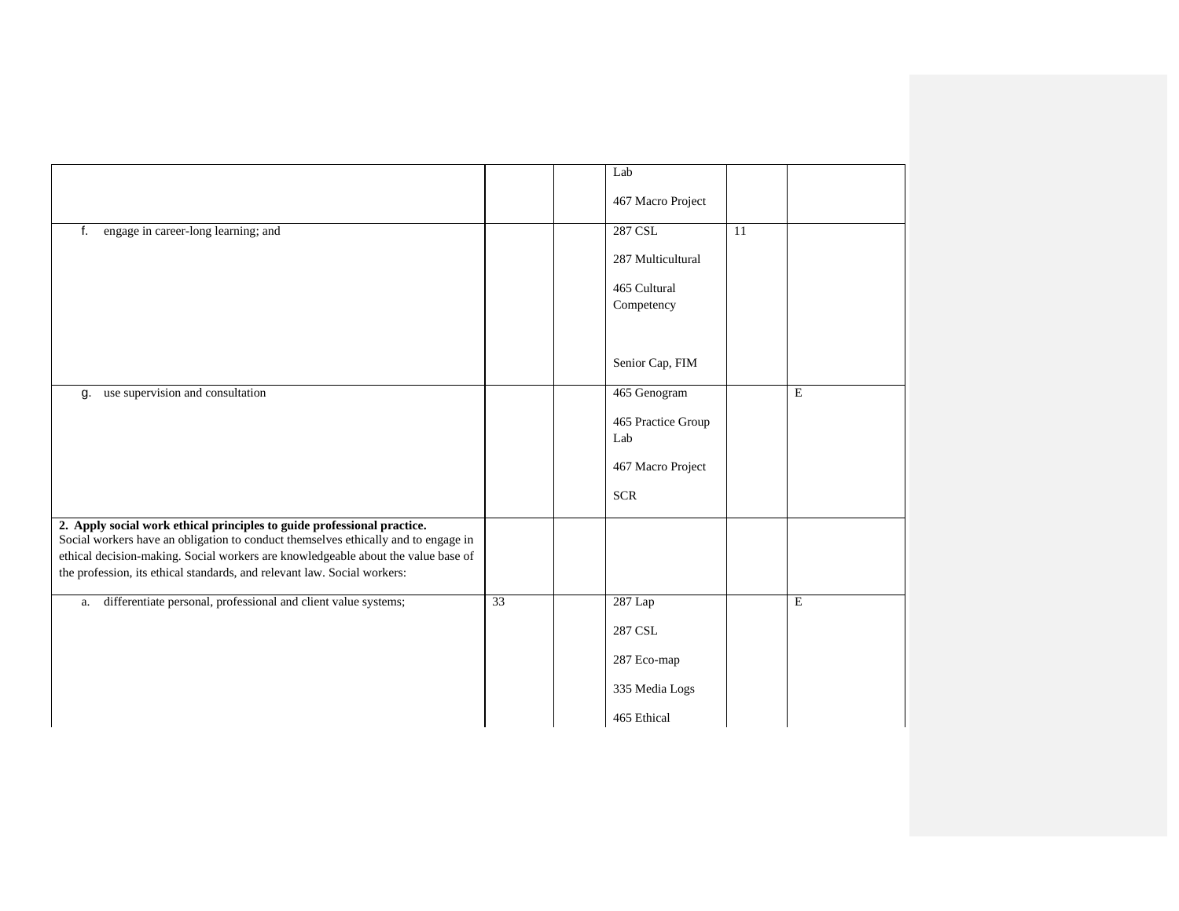|                                                                                                                                                                                                                                                                                                                                |    | Lab                        |    |             |
|--------------------------------------------------------------------------------------------------------------------------------------------------------------------------------------------------------------------------------------------------------------------------------------------------------------------------------|----|----------------------------|----|-------------|
|                                                                                                                                                                                                                                                                                                                                |    | 467 Macro Project          |    |             |
| engage in career-long learning; and<br>f.                                                                                                                                                                                                                                                                                      |    | 287 CSL                    | 11 |             |
|                                                                                                                                                                                                                                                                                                                                |    | 287 Multicultural          |    |             |
|                                                                                                                                                                                                                                                                                                                                |    | 465 Cultural<br>Competency |    |             |
|                                                                                                                                                                                                                                                                                                                                |    | Senior Cap, FIM            |    |             |
| g. use supervision and consultation                                                                                                                                                                                                                                                                                            |    | 465 Genogram               |    | $\mathbf E$ |
|                                                                                                                                                                                                                                                                                                                                |    | 465 Practice Group<br>Lab  |    |             |
|                                                                                                                                                                                                                                                                                                                                |    | 467 Macro Project          |    |             |
|                                                                                                                                                                                                                                                                                                                                |    | <b>SCR</b>                 |    |             |
| 2. Apply social work ethical principles to guide professional practice.<br>Social workers have an obligation to conduct themselves ethically and to engage in<br>ethical decision-making. Social workers are knowledgeable about the value base of<br>the profession, its ethical standards, and relevant law. Social workers: |    |                            |    |             |
| differentiate personal, professional and client value systems;<br>a.                                                                                                                                                                                                                                                           | 33 | $287$ Lap                  |    | E           |
|                                                                                                                                                                                                                                                                                                                                |    | 287 CSL                    |    |             |
|                                                                                                                                                                                                                                                                                                                                |    | 287 Eco-map                |    |             |
|                                                                                                                                                                                                                                                                                                                                |    | 335 Media Logs             |    |             |
|                                                                                                                                                                                                                                                                                                                                |    | 465 Ethical                |    |             |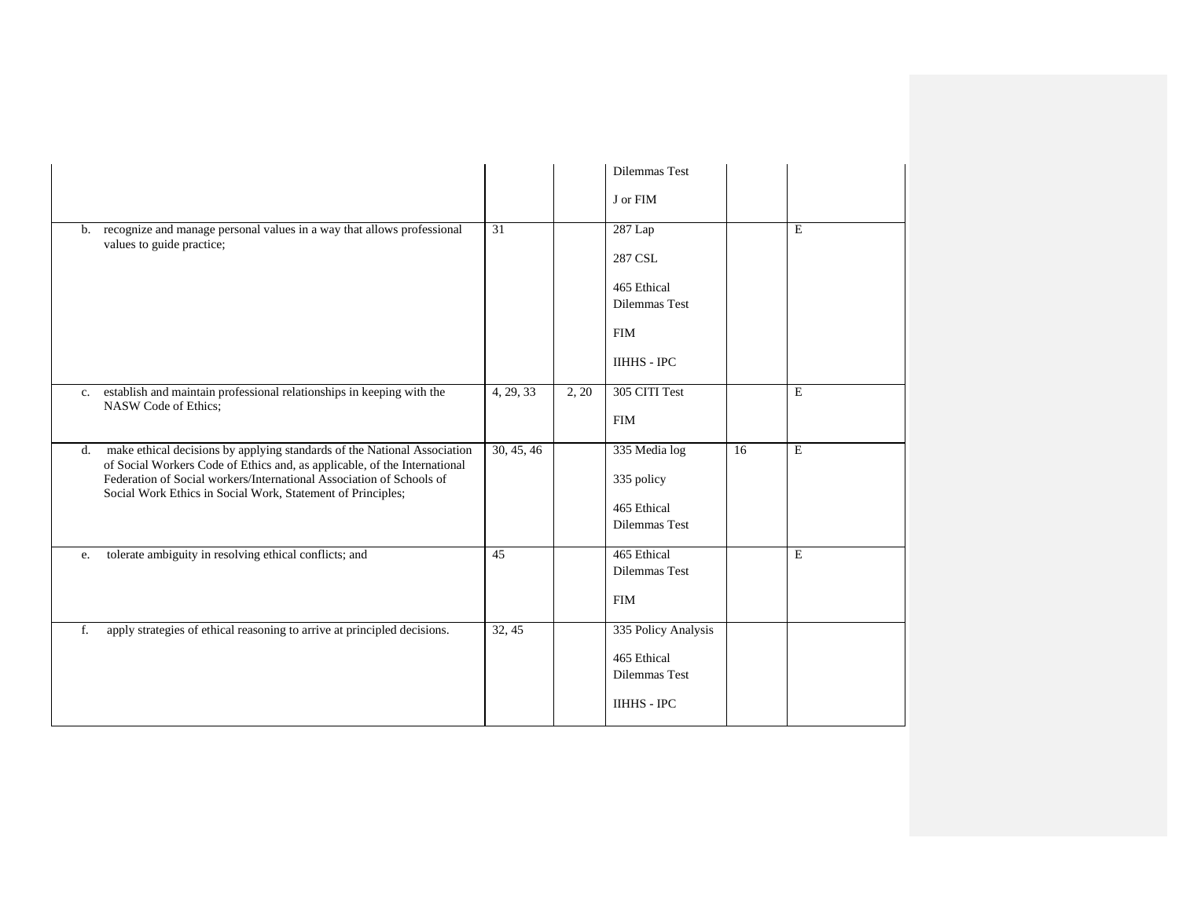|           |                                                                                                                                                                                                                                                                                              |            |       | <b>Dilemmas Test</b><br>J or FIM                                                              |    |             |
|-----------|----------------------------------------------------------------------------------------------------------------------------------------------------------------------------------------------------------------------------------------------------------------------------------------------|------------|-------|-----------------------------------------------------------------------------------------------|----|-------------|
| b.        | recognize and manage personal values in a way that allows professional<br>values to guide practice;                                                                                                                                                                                          | 31         |       | 287 Lap<br>287 CSL<br>465 Ethical<br><b>Dilemmas Test</b><br><b>FIM</b><br><b>IIHHS - IPC</b> |    | E           |
| $c_{\rm}$ | establish and maintain professional relationships in keeping with the<br>NASW Code of Ethics;                                                                                                                                                                                                | 4, 29, 33  | 2, 20 | 305 CITI Test<br><b>FIM</b>                                                                   |    | E           |
| d.        | make ethical decisions by applying standards of the National Association<br>of Social Workers Code of Ethics and, as applicable, of the International<br>Federation of Social workers/International Association of Schools of<br>Social Work Ethics in Social Work, Statement of Principles; | 30, 45, 46 |       | 335 Media log<br>335 policy<br>465 Ethical<br>Dilemmas Test                                   | 16 | $\mathbf E$ |
| e.        | tolerate ambiguity in resolving ethical conflicts; and                                                                                                                                                                                                                                       | 45         |       | 465 Ethical<br><b>Dilemmas Test</b><br><b>FIM</b>                                             |    | $\mathbf E$ |
| f.        | apply strategies of ethical reasoning to arrive at principled decisions.                                                                                                                                                                                                                     | 32, 45     |       | 335 Policy Analysis<br>465 Ethical<br><b>Dilemmas Test</b><br><b>IIHHS - IPC</b>              |    |             |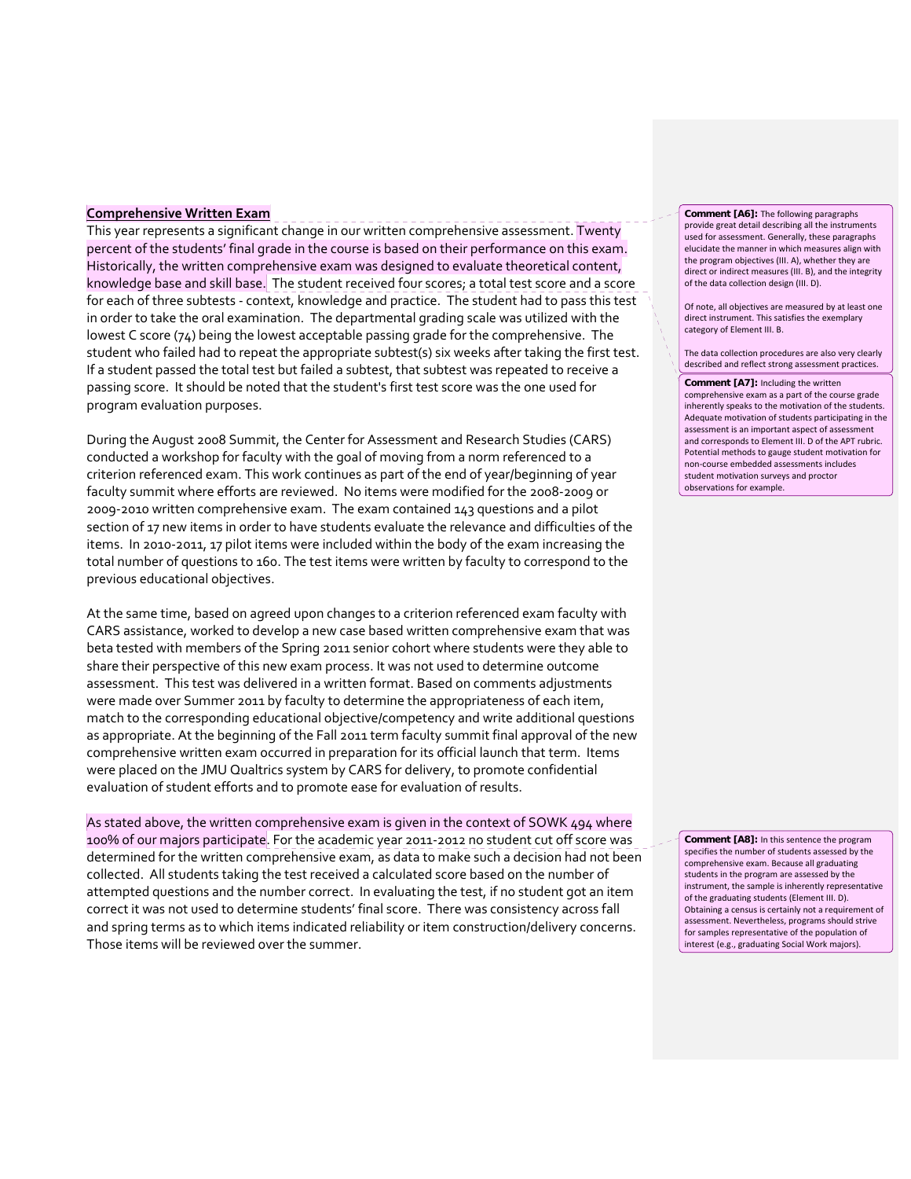#### **Comprehensive Written Exam**

This year represents a significant change in our written comprehensive assessment. Twenty percent of the students' final grade in the course is based on their performance on this exam. Historically, the written comprehensive exam was designed to evaluate theoretical content, knowledge base and skill base. The student received four scores; a total test score and a score for each of three subtests - context, knowledge and practice. The student had to pass this test in order to take the oral examination. The departmental grading scale was utilized with the lowest C score (74) being the lowest acceptable passing grade for the comprehensive. The student who failed had to repeat the appropriate subtest(s) six weeks after taking the first test. If a student passed the total test but failed a subtest, that subtest was repeated to receive a passing score. It should be noted that the student's first test score was the one used for program evaluation purposes.

During the August 2008 Summit, the Center for Assessment and Research Studies (CARS) conducted a workshop for faculty with the goal of moving from a norm referenced to a criterion referenced exam. This work continues as part of the end of year/beginning of year faculty summit where efforts are reviewed. No items were modified for the 2008‐2009 or 2009‐2010 written comprehensive exam. The exam contained 143 questions and a pilot section of 17 new items in order to have students evaluate the relevance and difficulties of the items. In 2010‐2011, 17 pilot items were included within the body of the exam increasing the total number of questions to 160. The test items were written by faculty to correspond to the previous educational objectives.

At the same time, based on agreed upon changes to a criterion referenced exam faculty with CARS assistance, worked to develop a new case based written comprehensive exam that was beta tested with members of the Spring 2011 senior cohort where students were they able to share their perspective of this new exam process. It was not used to determine outcome assessment. This test was delivered in a written format. Based on comments adjustments were made over Summer 2011 by faculty to determine the appropriateness of each item, match to the corresponding educational objective/competency and write additional questions as appropriate. At the beginning of the Fall 2011 term faculty summit final approval of the new comprehensive written exam occurred in preparation for its official launch that term. Items were placed on the JMU Qualtrics system by CARS for delivery, to promote confidential evaluation of student efforts and to promote ease for evaluation of results.

As stated above, the written comprehensive exam is given in the context of SOWK 494 where 100% of our majors participate. For the academic year 2011-2012 no student cut off score was determined for the written comprehensive exam, as data to make such a decision had not been collected. All students taking the test received a calculated score based on the number of attempted questions and the number correct. In evaluating the test, if no student got an item correct it was not used to determine students' final score. There was consistency across fall and spring terms as to which items indicated reliability or item construction/delivery concerns. Those items will be reviewed over the summer.

**Comment [A6]:** The following paragraphs provide great detail describing all the instruments used for assessment. Generally, these paragraphs elucidate the manner in which measures align with the program objectives (III. A), whether they are direct or indirect measures (III. B), and the integrity of the data collection design (III. D).

Of note, all objectives are measured by at least one direct instrument. This satisfies the exemplary category of Element III. B.

The data collection procedures are also very clearly described and reflect strong assessment practices.

**Comment [A7]:** Including the written comprehensive exam as a part of the course grade inherently speaks to the motivation of the students. Adequate motivation of students participating in the assessment is an important aspect of assessment and corresponds to Element III. D of the APT rubric. Potential methods to gauge student motivation for non‐course embedded assessments includes student motivation surveys and proctor observations for example.

**Comment [A8]:** In this sentence the program specifies the number of students assessed by the comprehensive exam. Because all graduating students in the program are assessed by the instrument, the sample is inherently representative of the graduating students (Element III. D). Obtaining a census is certainly not a requirement of assessment. Nevertheless, programs should strive for samples representative of the population of interest (e.g., graduating Social Work majors).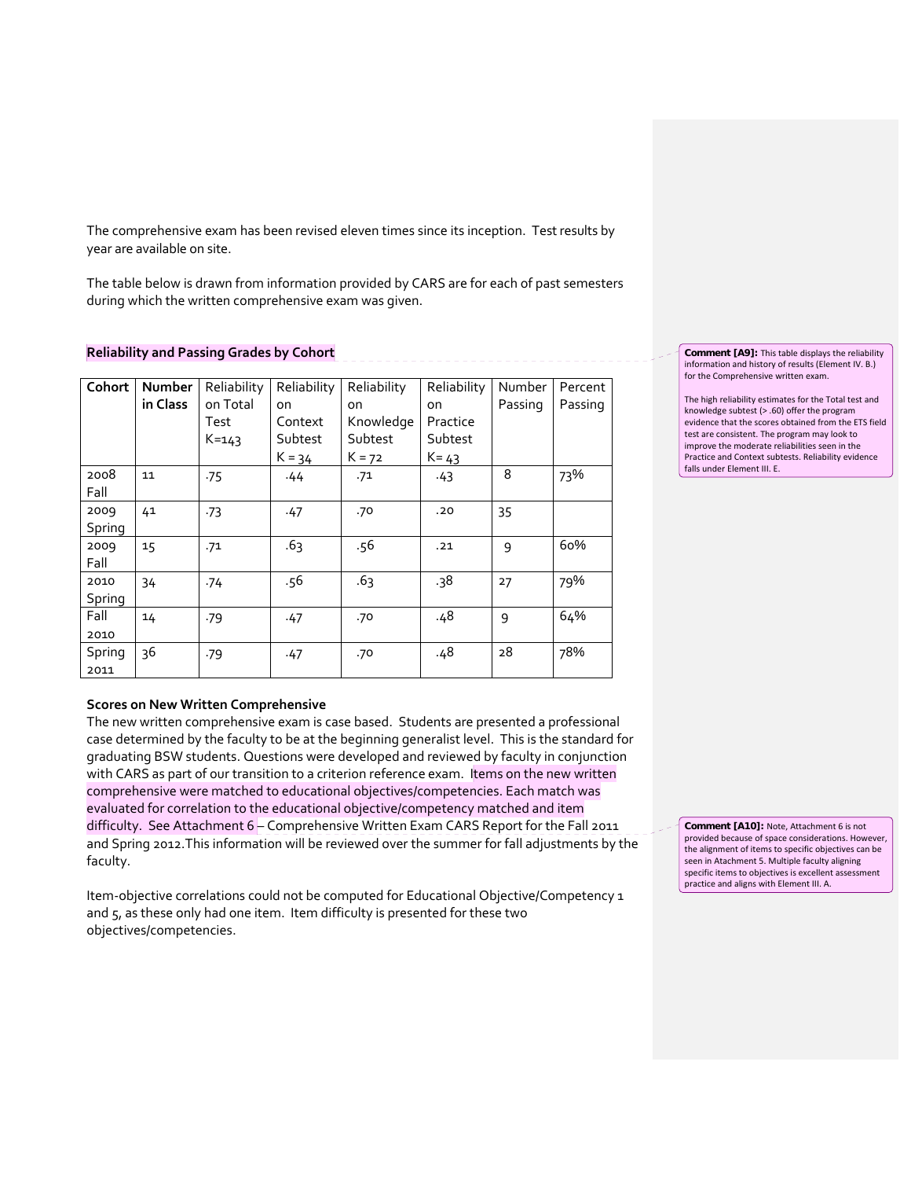The comprehensive exam has been revised eleven times since its inception. Test results by year are available on site.

The table below is drawn from information provided by CARS are for each of past semesters during which the written comprehensive exam was given.

### **Reliability and Passing Grades by Cohort**

| Cohort         | <b>Number</b><br>in Class | Reliability<br>on Total<br>Test<br>$K = 143$ | Reliability<br>on<br>Context<br>Subtest<br>$K = 34$ | Reliability<br>on<br>Knowledge<br>Subtest<br>$K = 72$ | Reliability<br>on<br>Practice<br>Subtest<br>$K = 43$ | Number<br>Passing | Percent<br>Passing |
|----------------|---------------------------|----------------------------------------------|-----------------------------------------------------|-------------------------------------------------------|------------------------------------------------------|-------------------|--------------------|
| 2008<br>Fall   | 11                        | .75                                          | .44                                                 | .71                                                   | .43                                                  | 8                 | 73%                |
| 2009<br>Spring | 41                        | $-73$                                        | .47                                                 | .70                                                   | .20                                                  | 35                |                    |
| 2009<br>Fall   | 15                        | .71                                          | .63                                                 | .56                                                   | .21                                                  | 9                 | 60%                |
| 2010<br>Spring | 34                        | .74                                          | .56                                                 | .63                                                   | .38                                                  | 27                | 79%                |
| Fall<br>2010   | 14                        | .79                                          | .47                                                 | .70                                                   | .48                                                  | 9                 | 64%                |
| Spring<br>2011 | 36                        | .79                                          | .47                                                 | .70                                                   | .48                                                  | 28                | 78%                |

**Comment [A9]:** This table displays the reliability information and history of results (Element IV. B.) for the Comprehensive written exam.

The high reliability estimates for the Total test and knowledge subtest (> .60) offer the program evidence that the scores obtained from the ETS field test are consistent. The program may look to improve the moderate reliabilities seen in the Practice and Context subtests. Reliability evidence falls under Element III. E.

### **Scores on New Written Comprehensive**

The new written comprehensive exam is case based. Students are presented a professional case determined by the faculty to be at the beginning generalist level. This is the standard for graduating BSW students. Questions were developed and reviewed by faculty in conjunction with CARS as part of our transition to a criterion reference exam. Items on the new written comprehensive were matched to educational objectives/competencies. Each match was evaluated for correlation to the educational objective/competency matched and item difficulty. See Attachment 6 - Comprehensive Written Exam CARS Report for the Fall 2011 and Spring 2012.This information will be reviewed over the summer for fall adjustments by the faculty.

Item-objective correlations could not be computed for Educational Objective/Competency 1 and 5, as these only had one item. Item difficulty is presented for these two objectives/competencies.

**Comment [A10]:** Note, Attachment 6 is not provided because of space considerations. However, the alignment of items to specific objectives can be seen in Atachment 5. Multiple faculty aligning specific items to objectives is excellent assessment practice and aligns with Element III. A.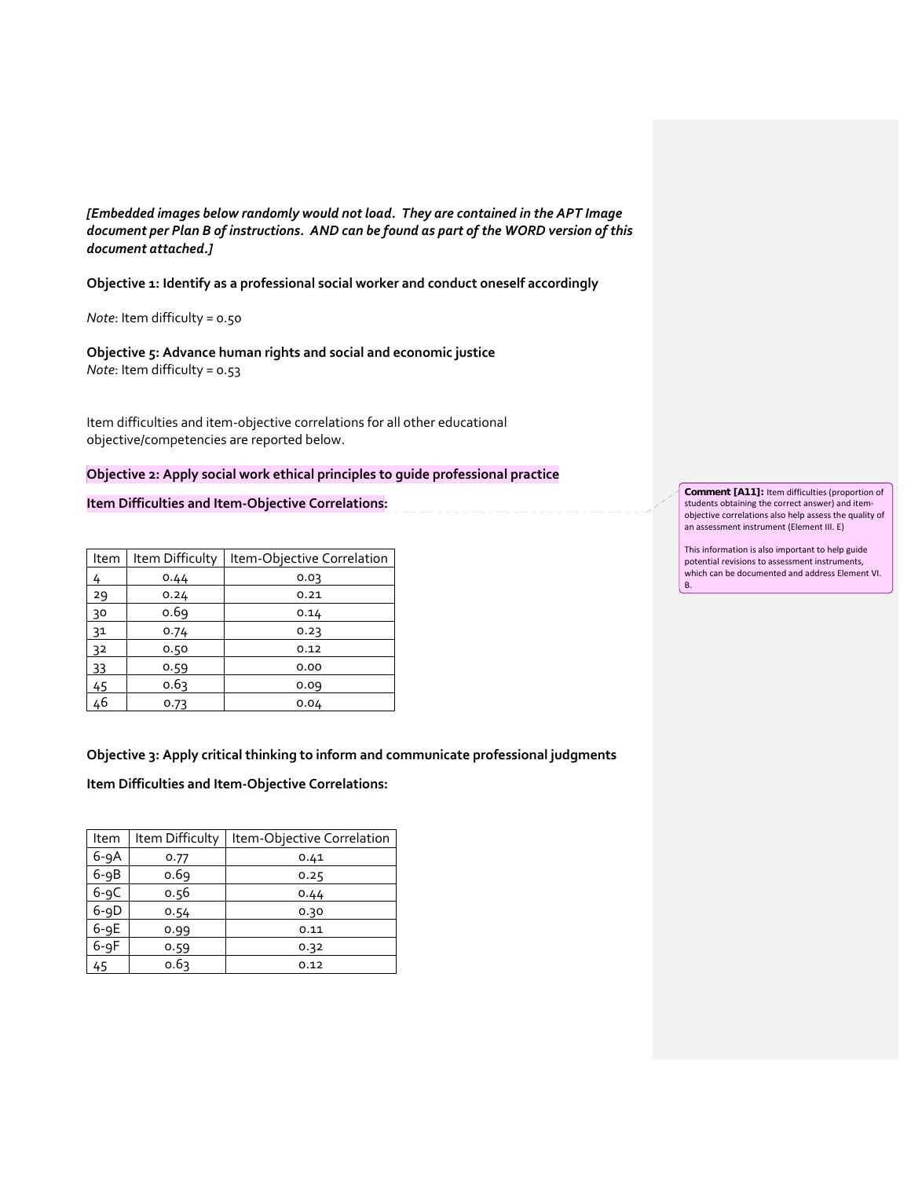*[Embedded images below randomly would not load. They are contained in the APT Image document per Plan B of instructions. AND can be found as part of the WORD version of this document attached.]*

**Objective 1: Identify as a professional social worker and conduct oneself accordingly**

*Note*: Item difficulty = 0.50

**Objective 5: Advance human rights and social and economic justice** *Note*: Item difficulty = 0.53

Item difficulties and item‐objective correlations for all other educational objective/competencies are reported below.

#### **Objective 2: Apply social work ethical principles to guide professional practice**

## **Item Difficulties and Item‐Objective Correlations:**

| Item      | Item Difficulty | Item-Objective Correlation |
|-----------|-----------------|----------------------------|
| 4         | 0.44            | 0.03                       |
| 29        | 0.24            | 0.21                       |
| 30        | 0.69            | 0.14                       |
| 31        | 0.74            | 0.23                       |
| 32        | 0.50            | 0.12                       |
| <u>33</u> | 0.59            | 0.00                       |
| 45        | 0.63            | 0.09                       |
| 46        | 0.73            | 0.04                       |

#### **Objective 3: Apply critical thinking to inform and communicate professional judgments**

**Item Difficulties and Item‐Objective Correlations:**

| Item     | Item Difficulty | Item-Objective Correlation |
|----------|-----------------|----------------------------|
| $6-9A$   | 0.77            | 0.41                       |
| $6-9B$   | 0.69            | 0.25                       |
| $6-9C$   | 0.56            | 0.44                       |
| $6 - 9D$ | 0.54            | 0.30                       |
| $6-9E$   | 0.99            | 0.11                       |
| $6-9F$   | 0.59            | 0.32                       |
| 45       | 0.63            | 0.12                       |

**Comment [A11]:** Item difficulties (proportion of students obtaining the correct answer) and item‐ objective correlations also help assess the quality of an assessment instrument (Element III. E)

This information is also important to help guide potential revisions to assessment instruments, which can be documented and address Element VI. B.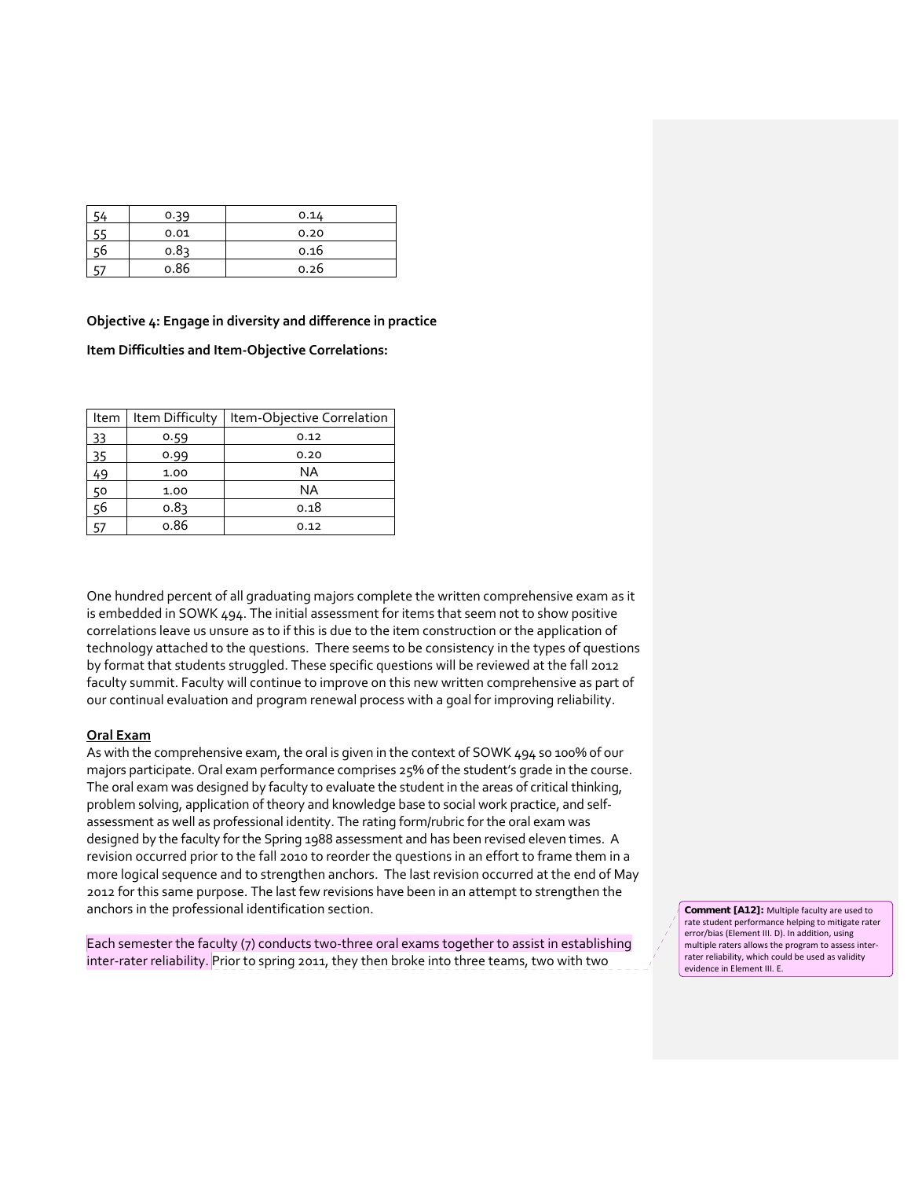|    | 0.39 | 0.14 |
|----|------|------|
|    | 0.01 | 0.20 |
| -6 | 0.83 | 0.16 |
|    | 0.86 | 0.26 |

**Objective 4: Engage in diversity and difference in practice Item Difficulties and Item‐Objective Correlations:**

| Item | Item Difficulty | Item-Objective Correlation |
|------|-----------------|----------------------------|
| 33   | 0.59            | 0.12                       |
| 35   | 0.99            | 0.20                       |
| 49   | 1.00            | ΝA                         |
| 50   | 1.00            | ΝA                         |
| 56   | 0.83            | 0.18                       |
|      | o.86            | 0.12                       |

One hundred percent of all graduating majors complete the written comprehensive exam as it is embedded in SOWK 494. The initial assessment for items that seem not to show positive correlations leave us unsure as to if this is due to the item construction or the application of technology attached to the questions. There seems to be consistency in the types of questions by format that students struggled. These specific questions will be reviewed at the fall 2012 faculty summit. Faculty will continue to improve on this new written comprehensive as part of our continual evaluation and program renewal process with a goal for improving reliability.

### **Oral Exam**

As with the comprehensive exam, the oral is given in the context of SOWK 494 so 100% of our majors participate. Oral exam performance comprises 25% of the student's grade in the course. The oral exam was designed by faculty to evaluate the student in the areas of critical thinking, problem solving, application of theory and knowledge base to social work practice, and self‐ assessment as well as professional identity. The rating form/rubric for the oral exam was designed by the faculty for the Spring 1988 assessment and has been revised eleven times. A revision occurred prior to the fall 2010 to reorder the questions in an effort to frame them in a more logical sequence and to strengthen anchors. The last revision occurred at the end of May 2012 for this same purpose. The last few revisions have been in an attempt to strengthen the anchors in the professional identification section.

Each semester the faculty (7) conducts two-three oral exams together to assist in establishing inter-rater reliability. Prior to spring 2011, they then broke into three teams, two with two

**Comment [A12]:** Multiple faculty are used to rate student performance helping to mitigate rater error/bias (Element III. D). In addition, using multiple raters allows the program to assess inter‐ rater reliability, which could be used as validity evidence in Element III. E.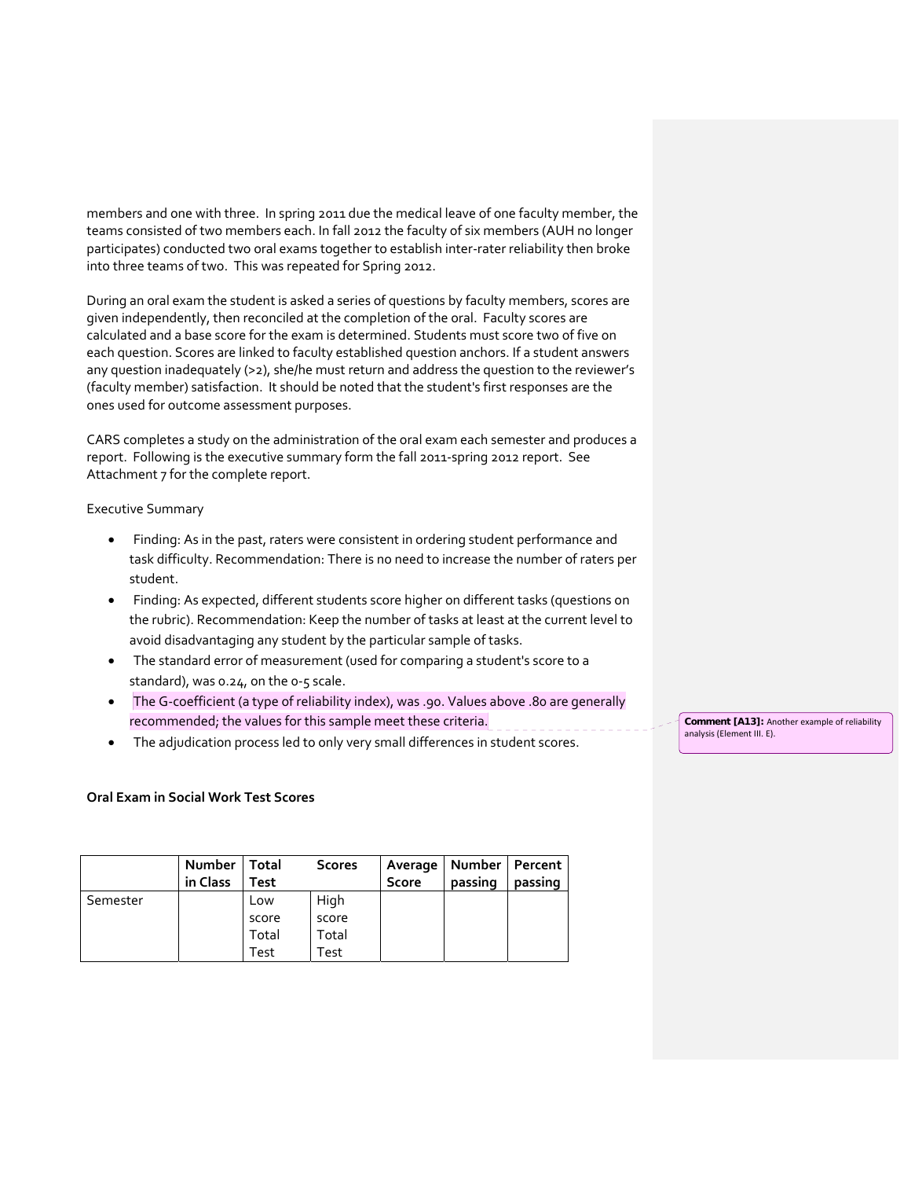members and one with three. In spring 2011 due the medical leave of one faculty member, the teams consisted of two members each. In fall 2012 the faculty of six members (AUH no longer participates) conducted two oral exams together to establish inter‐rater reliability then broke into three teams of two. This was repeated for Spring 2012.

During an oral exam the student is asked a series of questions by faculty members, scores are given independently, then reconciled at the completion of the oral. Faculty scores are calculated and a base score for the exam is determined. Students must score two of five on each question. Scores are linked to faculty established question anchors. If a student answers any question inadequately (>2), she/he must return and address the question to the reviewer's (faculty member) satisfaction. It should be noted that the student's first responses are the ones used for outcome assessment purposes.

CARS completes a study on the administration of the oral exam each semester and produces a report. Following is the executive summary form the fall 2011‐spring 2012 report. See Attachment 7 for the complete report.

Executive Summary

- Finding: As in the past, raters were consistent in ordering student performance and task difficulty. Recommendation: There is no need to increase the number of raters per student.
- Finding: As expected, different students score higher on different tasks (questions on the rubric). Recommendation: Keep the number of tasks at least at the current level to avoid disadvantaging any student by the particular sample of tasks.
- The standard error of measurement (used for comparing a student's score to a standard), was 0.24, on the 0-5 scale.
- The G-coefficient (a type of reliability index), was .90. Values above .80 are generally recommended; the values for this sample meet these criteria.
- The adjudication process led to only very small differences in student scores.

#### **Oral Exam in Social Work Test Scores**

|          | Number<br>in Class | Total<br>Test | <b>Scores</b> | Score | Average   Number   Percent<br>passing | passing |
|----------|--------------------|---------------|---------------|-------|---------------------------------------|---------|
| Semester |                    | Low           | High          |       |                                       |         |
|          |                    | score         | score         |       |                                       |         |
|          |                    | Total         | Total         |       |                                       |         |
|          |                    | Test          | Test          |       |                                       |         |

**Comment [A13]:** Another example of reliability analysis (Element III. E).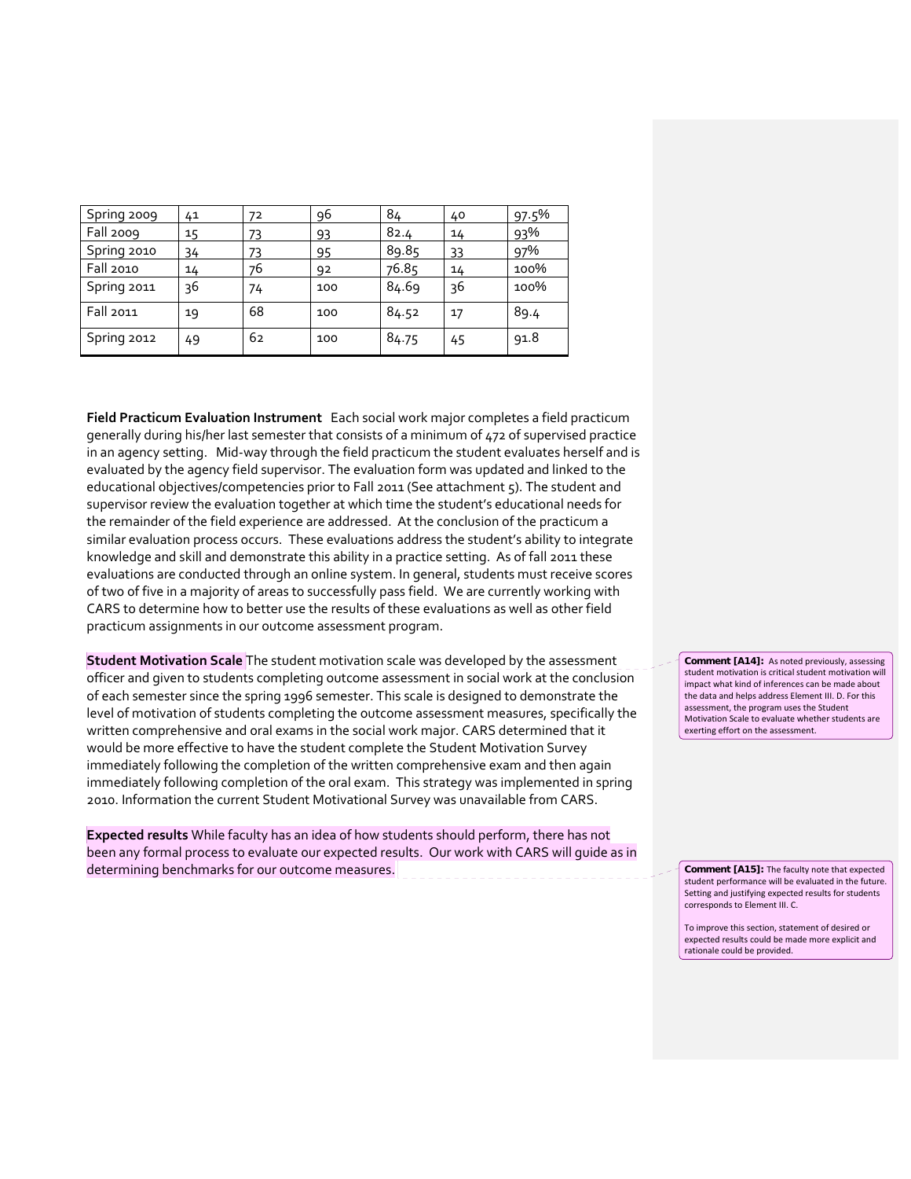| Spring 2009      | 41 | 72 | 96  | 84    | 40 | 97.5% |
|------------------|----|----|-----|-------|----|-------|
| Fall 2009        | 15 | 73 | 93  | 82.4  | 14 | 93%   |
| Spring 2010      | 34 | 73 | 95  | 89.85 | 33 | 97%   |
| <b>Fall 2010</b> | 14 | 76 | 92  | 76.85 | 14 | 100%  |
| Spring 2011      | 36 | 74 | 100 | 84.69 | 36 | 100%  |
| Fall 2011        | 19 | 68 | 100 | 84.52 | 17 | 89.4  |
| Spring 2012      | 49 | 62 | 100 | 84.75 | 45 | 91.8  |

**Field Practicum Evaluation Instrument** Each social work major completes a field practicum generally during his/her last semester that consists of a minimum of 472 of supervised practice in an agency setting. Mid‐way through the field practicum the student evaluates herself and is evaluated by the agency field supervisor. The evaluation form was updated and linked to the educational objectives/competencies prior to Fall 2011 (See attachment 5). The student and supervisor review the evaluation together at which time the student's educational needs for the remainder of the field experience are addressed. At the conclusion of the practicum a similar evaluation process occurs. These evaluations address the student's ability to integrate knowledge and skill and demonstrate this ability in a practice setting. As of fall 2011 these evaluations are conducted through an online system. In general, students must receive scores of two of five in a majority of areas to successfully pass field. We are currently working with CARS to determine how to better use the results of these evaluations as well as other field practicum assignments in our outcome assessment program.

**Student Motivation Scale** The student motivation scale was developed by the assessment officer and given to students completing outcome assessment in social work at the conclusion of each semester since the spring 1996 semester. This scale is designed to demonstrate the level of motivation of students completing the outcome assessment measures, specifically the written comprehensive and oral exams in the social work major. CARS determined that it would be more effective to have the student complete the Student Motivation Survey immediately following the completion of the written comprehensive exam and then again immediately following completion of the oral exam. This strategy was implemented in spring 2010. Information the current Student Motivational Survey was unavailable from CARS.

**Expected results** While faculty has an idea of how students should perform, there has not been any formal process to evaluate our expected results. Our work with CARS will guide as in determining benchmarks for our outcome measures.

**Comment [A14]:** As noted previously, assessing student motivation is critical student motivation will impact what kind of inferences can be made about the data and helps address Element III. D. For this assessment, the program uses the Student Motivation Scale to evaluate whether students are exerting effort on the assessment.

**Comment [A15]:** The faculty note that expected student performance will be evaluated in the future. Setting and justifying expected results for students corresponds to Element III. C.

To improve this section, statement of desired or expected results could be made more explicit and rationale could be provided.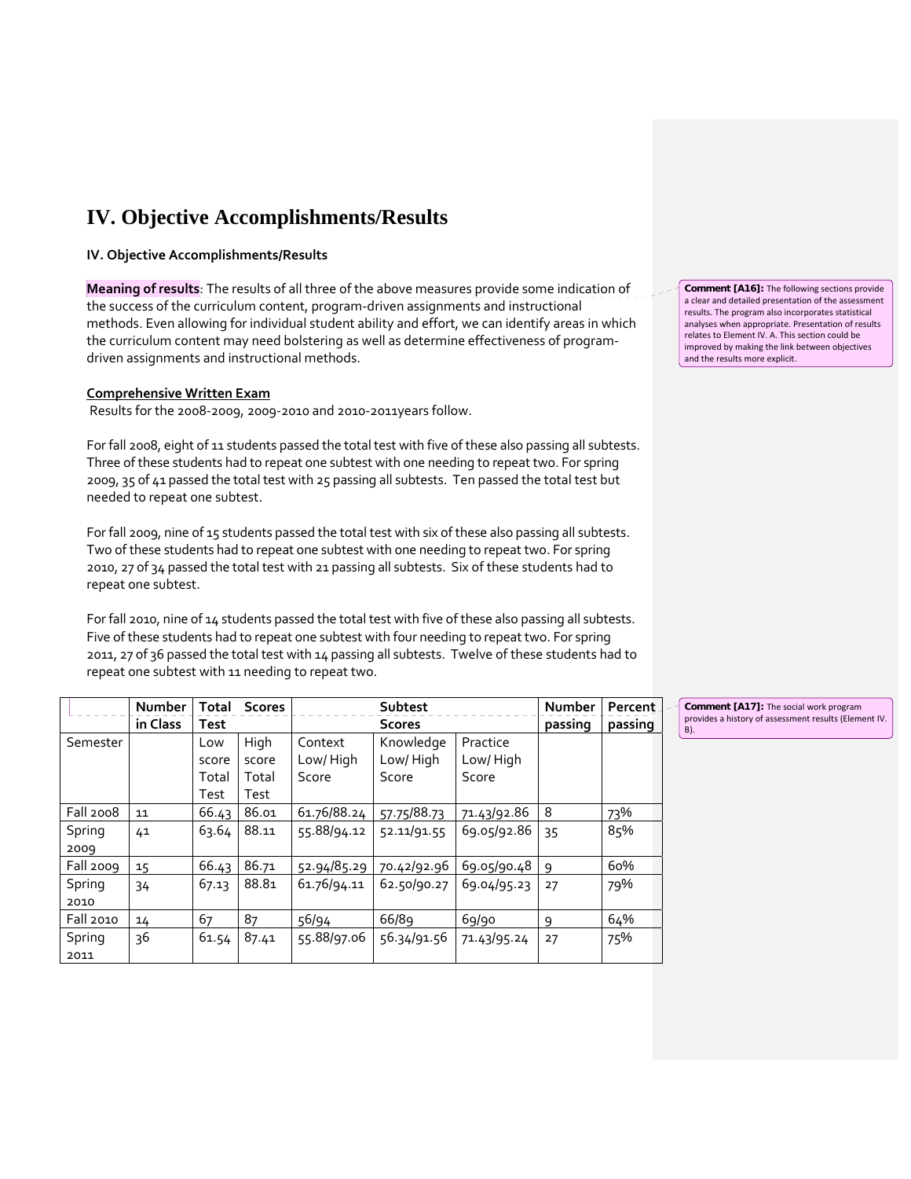# **IV. Objective Accomplishments/Results**

### **IV. Objective Accomplishments/Results**

**Meaning of results**: The results of all three of the above measures provide some indication of the success of the curriculum content, program‐driven assignments and instructional methods. Even allowing for individual student ability and effort, we can identify areas in which the curriculum content may need bolstering as well as determine effectiveness of program‐ driven assignments and instructional methods.

#### **Comprehensive Written Exam**

Results for the 2008‐2009, 2009‐2010 and 2010‐2011years follow.

For fall 2008, eight of 11 students passed the total test with five of these also passing all subtests. Three of these students had to repeat one subtest with one needing to repeat two. For spring 2009, 35 of 41 passed the total test with 25 passing all subtests. Ten passed the total test but needed to repeat one subtest.

For fall 2009, nine of 15 students passed the total test with six of these also passing all subtests. Two of these students had to repeat one subtest with one needing to repeat two. For spring 2010, 27 of 34 passed the total test with 21 passing all subtests. Six of these students had to repeat one subtest.

For fall 2010, nine of 14 students passed the total test with five of these also passing all subtests. Five of these students had to repeat one subtest with four needing to repeat two. For spring 2011, 27 of 36 passed the total test with 14 passing all subtests. Twelve of these students had to repeat one subtest with 11 needing to repeat two.

|           | <b>Number</b> | Total | <b>Scores</b> |             | Subtest       |             | <b>Number</b> | Percent. |
|-----------|---------------|-------|---------------|-------------|---------------|-------------|---------------|----------|
|           | in Class      | Test  |               |             | <b>Scores</b> |             | passing       | passing  |
| Semester  |               | Low   | High          | Context     | Knowledge     | Practice    |               |          |
|           |               | score | score         | Low/High    | Low/High      | Low/High    |               |          |
|           |               | Total | Total         | Score       | Score         | Score       |               |          |
|           |               | Test  | Test          |             |               |             |               |          |
| Fall 2008 | 11            | 66.43 | 86.01         | 61.76/88.24 | 57.75/88.73   | 71.43/92.86 | 8             | 73%      |
| Spring    | 41            | 63.64 | 88.11         | 55.88/94.12 | 52.11/91.55   | 69.05/92.86 | 35            | 85%      |
| 2009      |               |       |               |             |               |             |               |          |
| Fall 2009 | 15            | 66.43 | 86.71         | 52.94/85.29 | 70.42/92.96   | 69.05/90.48 | 9             | 60%      |
| Spring    | 34            | 67.13 | 88.81         | 61.76/94.11 | 62.50/90.27   | 69.04/95.23 | 27            | 79%      |
| 2010      |               |       |               |             |               |             |               |          |
| Fall 2010 | 14            | 67    | 87            | 56/94       | 66/89         | 69/90       | 9             | 64%      |
| Spring    | 36            | 61.54 | 87.41         | 55.88/97.06 | 56.34/91.56   | 71.43/95.24 | 27            | 75%      |
| 2011      |               |       |               |             |               |             |               |          |

**Comment [A16]:** The following sections provide a clear and detailed presentation of the assessment results. The program also incorporates statistical analyses when appropriate. Presentation of results relates to Element IV. A. This section could be improved by making the link between objectives and the results more explicit.

**Comment [A17]:** The social work program provides a history of assessment results (Element IV. B).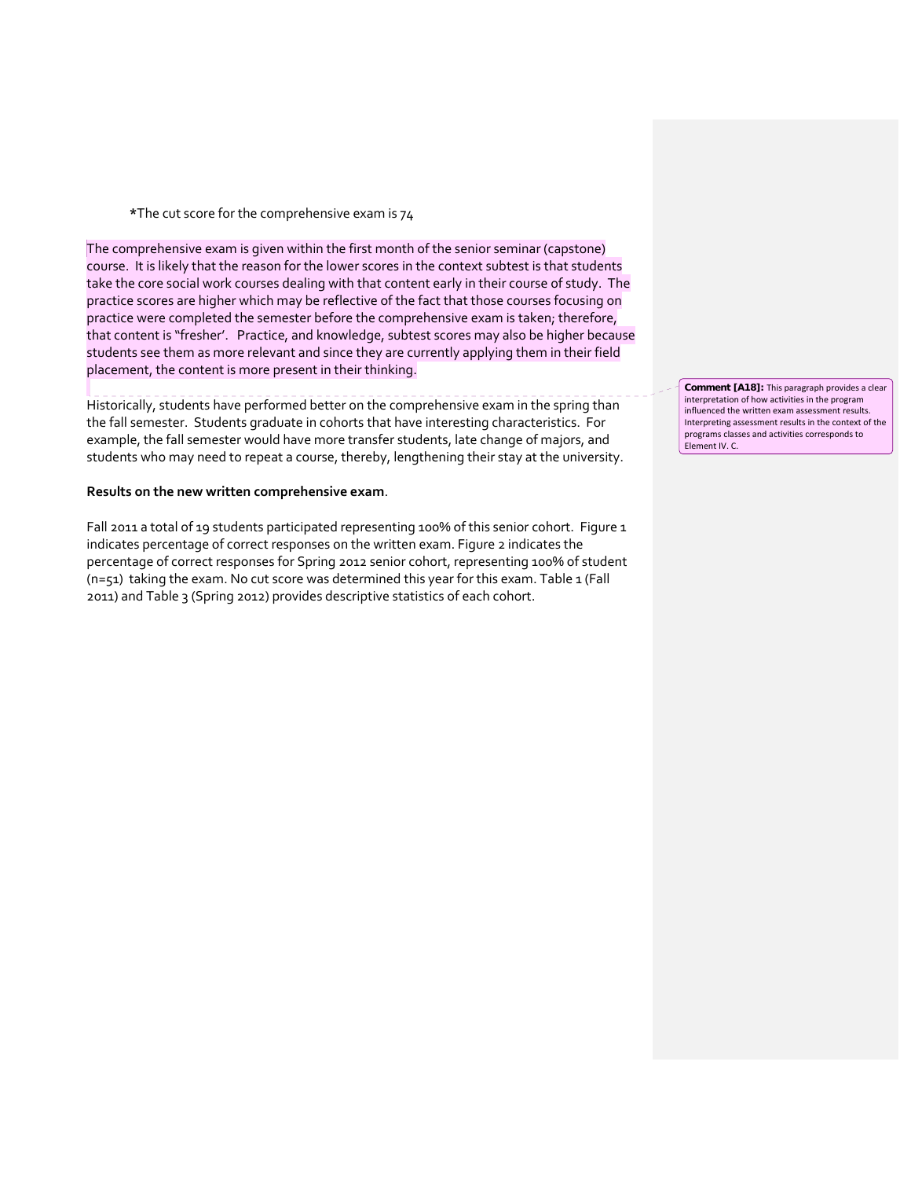**\***The cut score for the comprehensive exam is 74

The comprehensive exam is given within the first month of the senior seminar (capstone) course. It is likely that the reason for the lower scores in the context subtest is that students take the core social work courses dealing with that content early in their course of study. The practice scores are higher which may be reflective of the fact that those courses focusing on practice were completed the semester before the comprehensive exam is taken; therefore, that content is "fresher'. Practice, and knowledge, subtest scores may also be higher because students see them as more relevant and since they are currently applying them in their field placement, the content is more present in their thinking.

## Historically, students have performed better on the comprehensive exam in the spring than

the fall semester. Students graduate in cohorts that have interesting characteristics. For example, the fall semester would have more transfer students, late change of majors, and students who may need to repeat a course, thereby, lengthening their stay at the university.

#### **Results on the new written comprehensive exam**.

Fall 2011 a total of 19 students participated representing 100% of this senior cohort. Figure 1 indicates percentage of correct responses on the written exam. Figure 2 indicates the percentage of correct responses for Spring 2012 senior cohort, representing 100% of student (n=51) taking the exam. No cut score was determined this year for this exam. Table 1 (Fall 2011) and Table 3 (Spring 2012) provides descriptive statistics of each cohort.

**Comment [A18]:** This paragraph provides a clear interpretation of how activities in the program influenced the written exam assessment results. Interpreting assessment results in the context of the programs classes and activities corresponds to Element IV. C.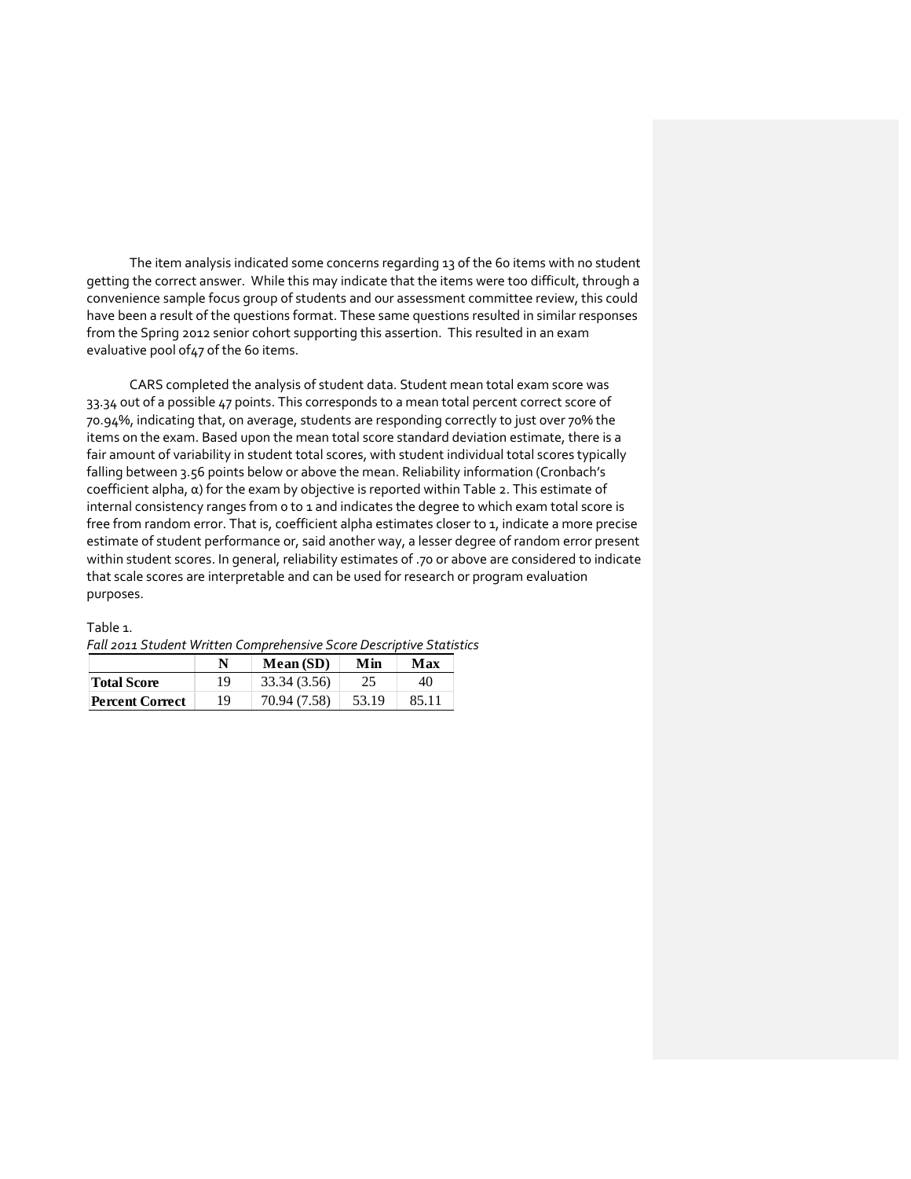The item analysis indicated some concerns regarding 13 of the 60 items with no student getting the correct answer. While this may indicate that the items were too difficult, through a convenience sample focus group of students and our assessment committee review, this could have been a result of the questions format. These same questions resulted in similar responses from the Spring 2012 senior cohort supporting this assertion. This resulted in an exam evaluative pool of 47 of the 60 items.

CARS completed the analysis of student data. Student mean total exam score was 33.34 out of a possible 47 points. This corresponds to a mean total percent correct score of 70.94%, indicating that, on average, students are responding correctly to just over 70% the items on the exam. Based upon the mean total score standard deviation estimate, there is a fair amount of variability in student total scores, with student individual total scores typically falling between 3.56 points below or above the mean. Reliability information (Cronbach's coefficient alpha, α) for the exam by objective is reported within Table 2. This estimate of internal consistency ranges from 0 to 1 and indicates the degree to which exam total score is free from random error. That is, coefficient alpha estimates closer to 1, indicate a more precise estimate of student performance or, said another way, a lesser degree of random error present within student scores. In general, reliability estimates of .70 or above are considered to indicate that scale scores are interpretable and can be used for research or program evaluation purposes.

#### Table 1.

#### *Fall 2011 Student Written Comprehensive Score Descriptive Statistics*

|                    |    | Mean (SD)    | Min   | Max   |
|--------------------|----|--------------|-------|-------|
| <b>Total Score</b> | 19 | 33.34 (3.56) |       | 40    |
| Percent Correct    | 19 | 70.94 (7.58) | 53.19 | 85.11 |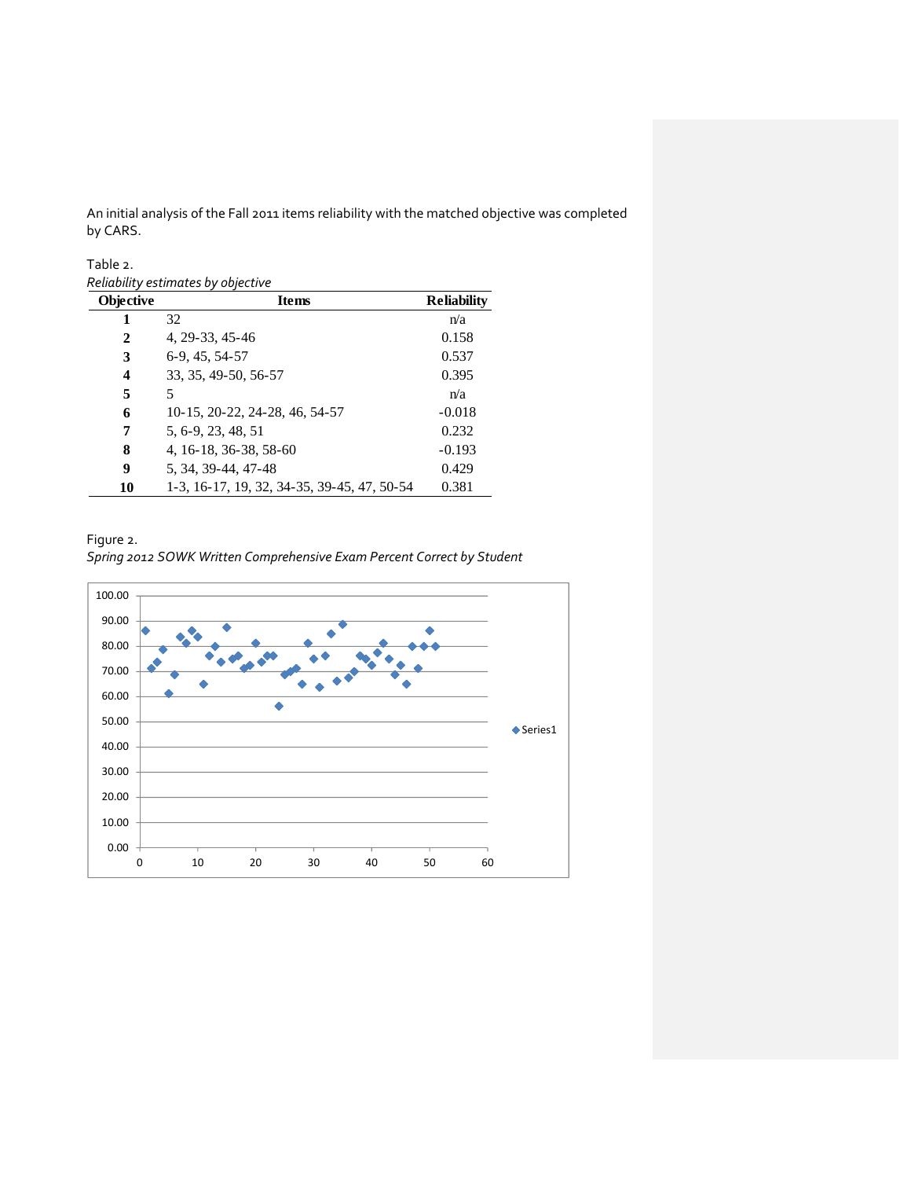An initial analysis of the Fall 2011 items reliability with the matched objective was completed by CARS.

Table 2. *Reliability estimates by objective*

| <b>Objective</b> | <b>Items</b>                                | <b>Reliability</b> |
|------------------|---------------------------------------------|--------------------|
| 1                | 32                                          | n/a                |
| $\mathbf{2}$     | 4, 29-33, 45-46                             | 0.158              |
| 3                | 6-9, 45, 54-57                              | 0.537              |
| 4                | 33, 35, 49-50, 56-57                        | 0.395              |
| 5                | 5                                           | n/a                |
| 6                | 10-15, 20-22, 24-28, 46, 54-57              | $-0.018$           |
| 7                | 5, 6-9, 23, 48, 51                          | 0.232              |
| 8                | 4, 16-18, 36-38, 58-60                      | $-0.193$           |
| 9                | 5, 34, 39-44, 47-48                         | 0.429              |
| 10               | 1-3, 16-17, 19, 32, 34-35, 39-45, 47, 50-54 | 0.381              |



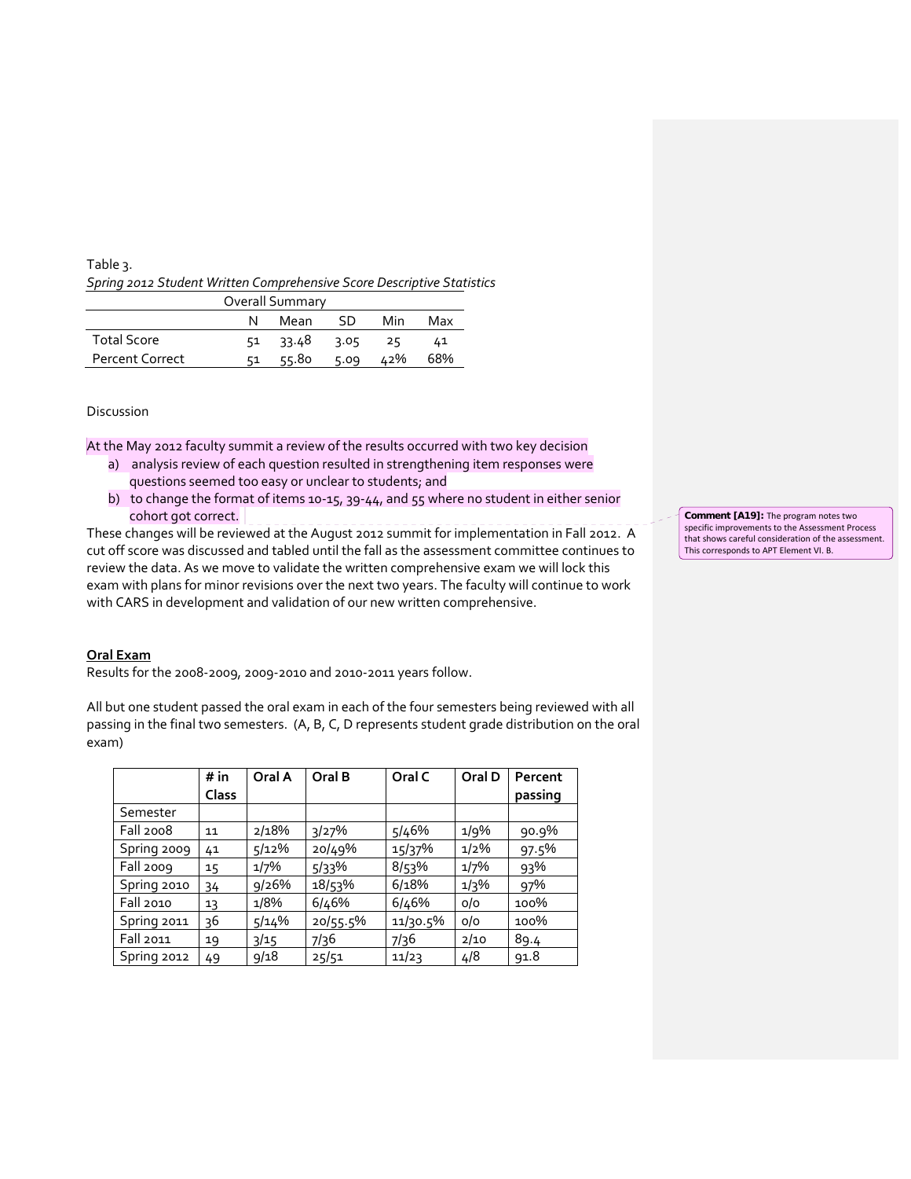Table 3. *Spring 2012 Student Written Comprehensive Score Descriptive Statistics*

| Overall Summary                  |    |               |          |  |     |  |
|----------------------------------|----|---------------|----------|--|-----|--|
| - SD<br>Min<br>Mean<br>Max<br>N. |    |               |          |  |     |  |
| <b>Total Score</b>               | 51 | 33.48 3.05 25 |          |  | 41  |  |
| <b>Percent Correct</b>           | 51 | 55.80         | 5.09 42% |  | 68% |  |

#### Discussion

At the May 2012 faculty summit a review of the results occurred with two key decision

- a) analysis review of each question resulted in strengthening item responses were questions seemed too easy or unclear to students; and
- b) to change the format of items 10-15, 39-44, and 55 where no student in either senior cohort got correct.

These changes will be reviewed at the August 2012 summit for implementation in Fall 2012. A cut off score was discussed and tabled until the fall as the assessment committee continues to review the data. As we move to validate the written comprehensive exam we will lock this exam with plans for minor revisions over the next two years. The faculty will continue to work with CARS in development and validation of our new written comprehensive.

#### **Oral Exam**

Results for the 2008‐2009, 2009‐2010 and 2010‐2011 years follow.

All but one student passed the oral exam in each of the four semesters being reviewed with all passing in the final two semesters. (A, B, C, D represents student grade distribution on the oral exam)

|                  | # in  | Oral A | Oral B   | Oral C   | Oral D  | Percent |
|------------------|-------|--------|----------|----------|---------|---------|
|                  | Class |        |          |          |         | passing |
| Semester         |       |        |          |          |         |         |
| <b>Fall 2008</b> | 11    | 2/18%  | 3/27%    | 5/46%    | $1/9\%$ | 90.9%   |
| Spring 2009      | 41    | 5/12%  | 20/49%   | 15/37%   | 1/2%    | 97.5%   |
| <b>Fall 2009</b> | 15    | 1/7%   | 5/33%    | 8/53%    | 1/7%    | 93%     |
| Spring 2010      | 34    | 9/26%  | 18/53%   | 6/18%    | 1/3%    | 97%     |
| <b>Fall 2010</b> | 13    | 1/8%   | 6/46%    | 6/46%    | 0/0     | 100%    |
| Spring 2011      | 36    | 5/14%  | 20/55.5% | 11/30.5% | 0/0     | 100%    |
| Fall 2011        | 19    | 3/15   | 7/36     | 7/36     | 2/10    | 89.4    |
| Spring 2012      | 49    | 9/18   | 25/51    | 11/23    | 4/8     | 91.8    |

**Comment [A19]:** The program notes two specific improvements to the Assessment Process that shows careful consideration of the assessment. This corresponds to APT Element VI. B.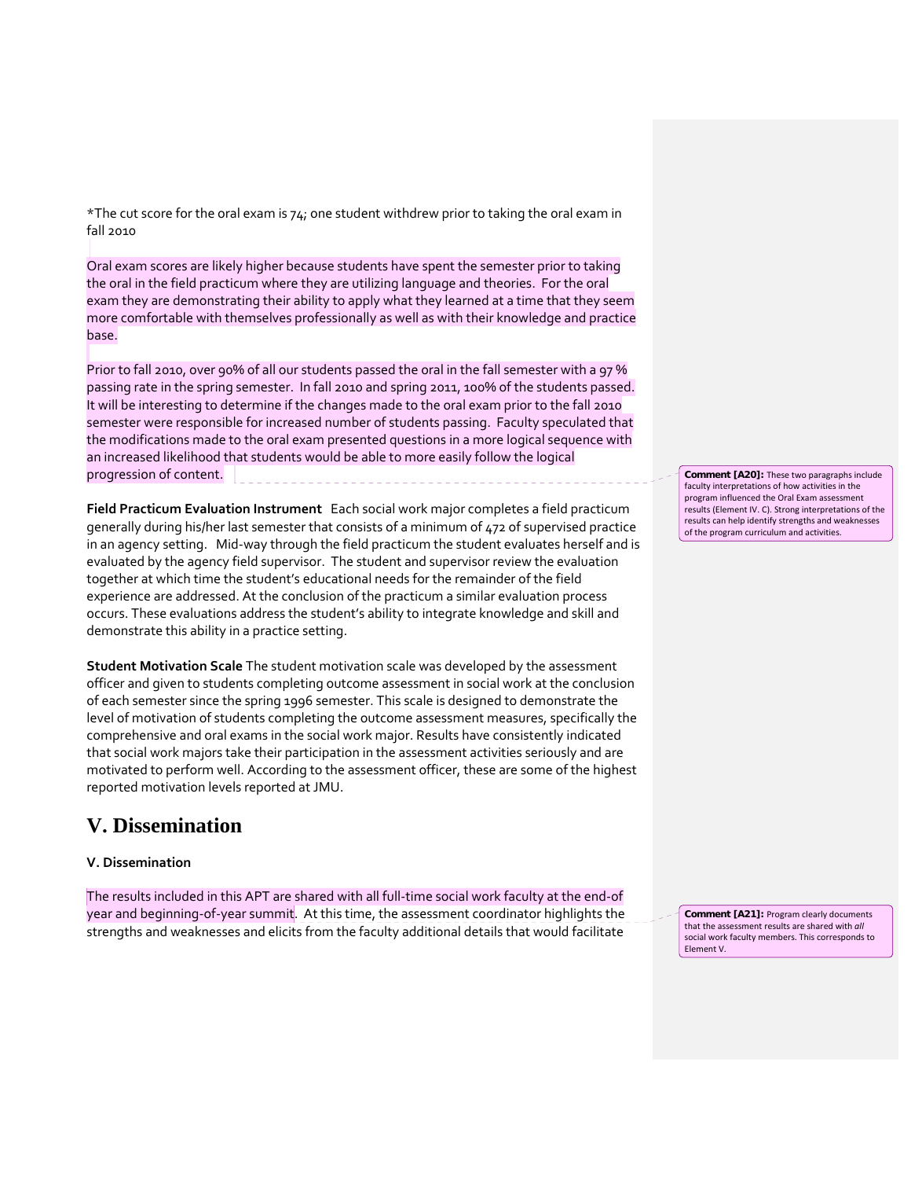\*The cut score for the oral exam is 74; one student withdrew prior to taking the oral exam in fall 2010

Oral exam scores are likely higher because students have spent the semester prior to taking the oral in the field practicum where they are utilizing language and theories. For the oral exam they are demonstrating their ability to apply what they learned at a time that they seem more comfortable with themselves professionally as well as with their knowledge and practice base.

Prior to fall 2010, over 90% of all our students passed the oral in the fall semester with a 97 % passing rate in the spring semester. In fall 2010 and spring 2011, 100% of the students passed. It will be interesting to determine if the changes made to the oral exam prior to the fall 2010 semester were responsible for increased number of students passing. Faculty speculated that the modifications made to the oral exam presented questions in a more logical sequence with an increased likelihood that students would be able to more easily follow the logical progression of content.

**Field Practicum Evaluation Instrument** Each social work major completes a field practicum generally during his/her last semester that consists of a minimum of 472 of supervised practice in an agency setting. Mid‐way through the field practicum the student evaluates herself and is evaluated by the agency field supervisor. The student and supervisor review the evaluation together at which time the student's educational needs for the remainder of the field experience are addressed. At the conclusion of the practicum a similar evaluation process occurs. These evaluations address the student's ability to integrate knowledge and skill and demonstrate this ability in a practice setting.

**Student Motivation Scale** The student motivation scale was developed by the assessment officer and given to students completing outcome assessment in social work at the conclusion of each semester since the spring 1996 semester. This scale is designed to demonstrate the level of motivation of students completing the outcome assessment measures, specifically the comprehensive and oral exams in the social work major. Results have consistently indicated that social work majors take their participation in the assessment activities seriously and are motivated to perform well. According to the assessment officer, these are some of the highest reported motivation levels reported at JMU.

# **V. Dissemination**

### **V. Dissemination**

The results included in this APT are shared with all full‐time social work faculty at the end‐of year and beginning‐of‐year summit. At this time, the assessment coordinator highlights the strengths and weaknesses and elicits from the faculty additional details that would facilitate **Comment [A20]:** These two paragraphs include faculty interpretations of how activities in the program influenced the Oral Exam assessment results (Element IV. C). Strong interpretations of the results can help identify strengths and weaknesses of the program curriculum and activities.

**Comment [A21]:** Program clearly documents that the assessment results are shared with *all* social work faculty members. This corresponds to Element V.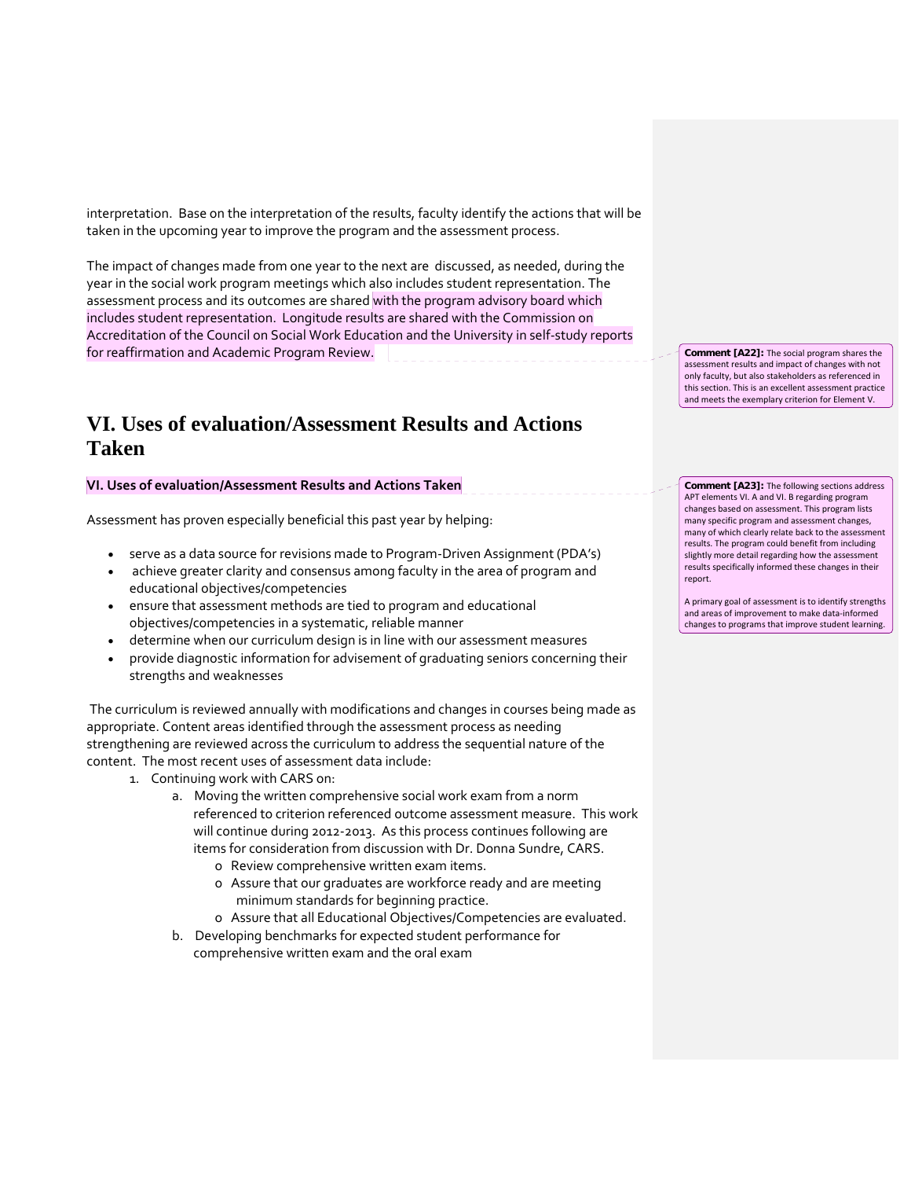interpretation. Base on the interpretation of the results, faculty identify the actions that will be taken in the upcoming year to improve the program and the assessment process.

The impact of changes made from one year to the next are discussed, as needed, during the year in the social work program meetings which also includes student representation. The assessment process and its outcomes are shared with the program advisory board which includes student representation. Longitude results are shared with the Commission on Accreditation of the Council on Social Work Education and the University in self‐study reports for reaffirmation and Academic Program Review.

# **VI. Uses of evaluation/Assessment Results and Actions Taken**

#### **VI. Uses of evaluation/Assessment Results and Actions Taken**

Assessment has proven especially beneficial this past year by helping:

- serve as a data source for revisions made to Program-Driven Assignment (PDA's)
- achieve greater clarity and consensus among faculty in the area of program and educational objectives/competencies
- ensure that assessment methods are tied to program and educational objectives/competencies in a systematic, reliable manner
- determine when our curriculum design is in line with our assessment measures
- provide diagnostic information for advisement of graduating seniors concerning their strengths and weaknesses

The curriculum is reviewed annually with modifications and changes in courses being made as appropriate. Content areas identified through the assessment process as needing strengthening are reviewed across the curriculum to address the sequential nature of the content. The most recent uses of assessment data include:

- 1. Continuing work with CARS on:
	- a. Moving the written comprehensive social work exam from a norm referenced to criterion referenced outcome assessment measure. This work will continue during 2012‐2013. As this process continues following are items for consideration from discussion with Dr. Donna Sundre, CARS.
		- o Review comprehensive written exam items.
		- o Assure that our graduates are workforce ready and are meeting minimum standards for beginning practice.
		- o Assure that all Educational Objectives/Competencies are evaluated.
	- b. Developing benchmarks for expected student performance for comprehensive written exam and the oral exam

**Comment [A22]:** The social program shares the assessment results and impact of changes with not only faculty, but also stakeholders as referenced in this section. This is an excellent assessment practice and meets the exemplary criterion for Element V.

**Comment [A23]:** The following sections address APT elements VI. A and VI. B regarding program changes based on assessment. This program lists many specific program and assessment changes, many of which clearly relate back to the assessment results. The program could benefit from including slightly more detail regarding how the assessment results specifically informed these changes in their report.

A primary goal of assessment is to identify strengths and areas of improvement to make data‐informed changes to programs that improve student learning.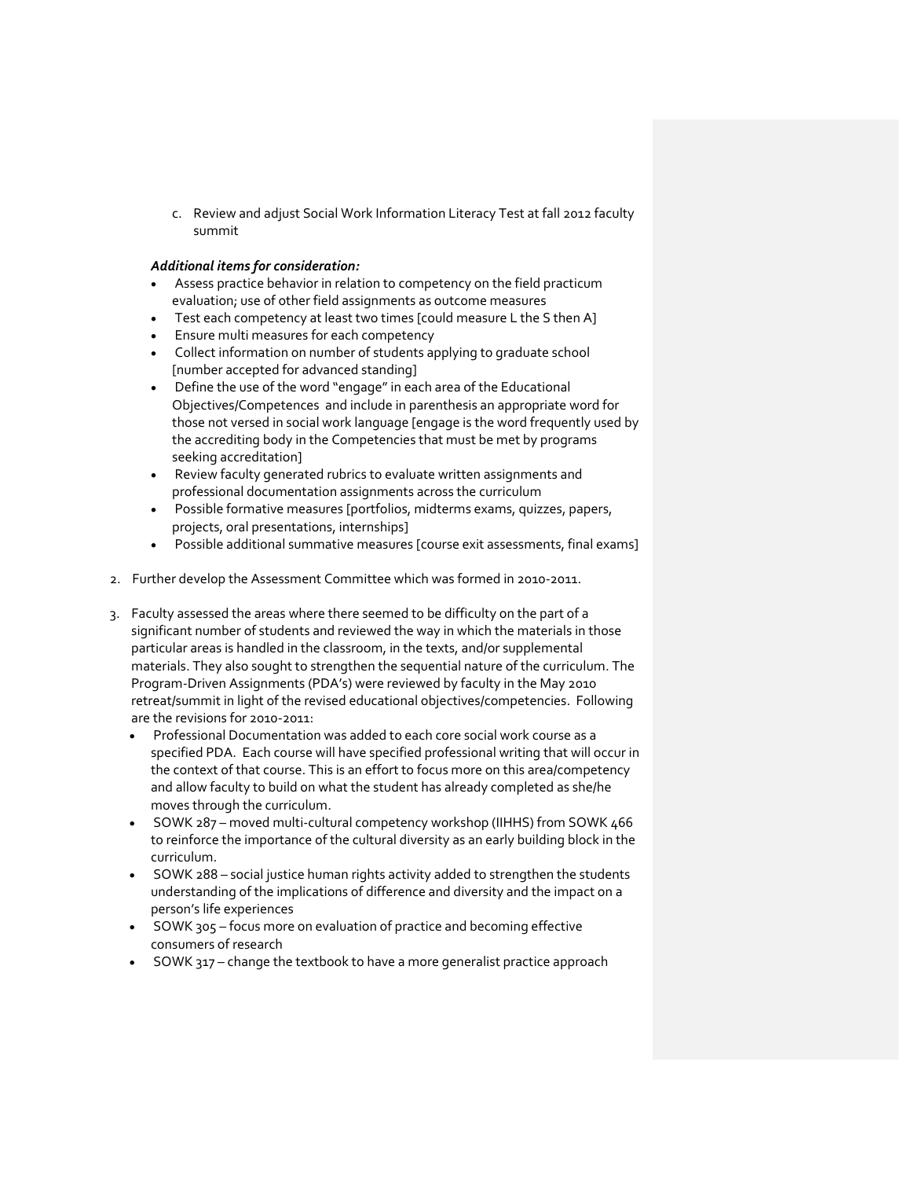c. Review and adjust Social Work Information Literacy Test at fall 2012 faculty summit

### *Additional items for consideration:*

- Assess practice behavior in relation to competency on the field practicum evaluation; use of other field assignments as outcome measures
- Test each competency at least two times [could measure L the S then A]
- Ensure multi measures for each competency
- Collect information on number of students applying to graduate school [number accepted for advanced standing]
- Define the use of the word "engage" in each area of the Educational Objectives/Competences and include in parenthesis an appropriate word for those not versed in social work language [engage is the word frequently used by the accrediting body in the Competencies that must be met by programs seeking accreditation]
- Review faculty generated rubrics to evaluate written assignments and professional documentation assignments across the curriculum
- Possible formative measures [portfolios, midterms exams, quizzes, papers, projects, oral presentations, internships]
- Possible additional summative measures [course exit assessments, final exams]
- 2. Further develop the Assessment Committee which was formed in 2010-2011.
- 3. Faculty assessed the areas where there seemed to be difficulty on the part of a significant number of students and reviewed the way in which the materials in those particular areas is handled in the classroom, in the texts, and/or supplemental materials. They also sought to strengthen the sequential nature of the curriculum. The Program‐Driven Assignments (PDA's) were reviewed by faculty in the May 2010 retreat/summit in light of the revised educational objectives/competencies. Following are the revisions for 2010‐2011:
	- Professional Documentation was added to each core social work course as a specified PDA. Each course will have specified professional writing that will occur in the context of that course. This is an effort to focus more on this area/competency and allow faculty to build on what the student has already completed as she/he moves through the curriculum.
	- SOWK 287 moved multi-cultural competency workshop (IIHHS) from SOWK 466 to reinforce the importance of the cultural diversity as an early building block in the curriculum.
	- SOWK 288 social justice human rights activity added to strengthen the students understanding of the implications of difference and diversity and the impact on a person's life experiences
	- SOWK 305 focus more on evaluation of practice and becoming effective consumers of research
	- SOWK 317 change the textbook to have a more generalist practice approach